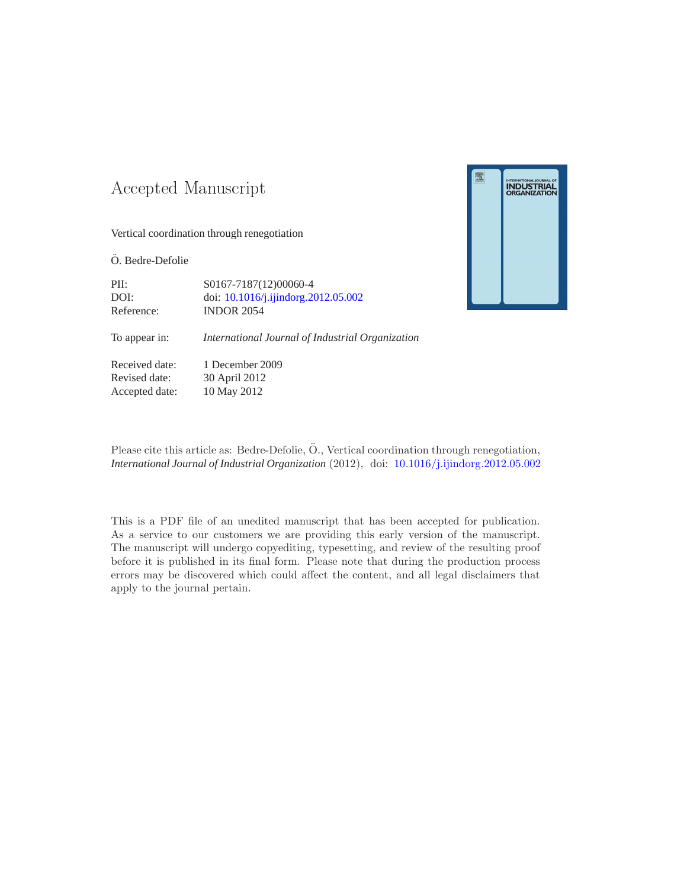#### -- -

Vertical coordination through renegotiation

Ö. Bedre-Defolie

PII: S0167-7187(12)00060-4 DOI: doi: [10.1016/j.ijindorg.2012.05.002](http://dx.doi.org/10.1016/j.ijindorg.2012.05.002) Reference: INDOR 2054

To appear in: *International Journal of Industrial Organization*

Received date: 1 December 2009 Revised date: 30 April 2012 Accepted date: 10 May 2012



Please cite this article as: Bedre-Defolie,  $\ddot{O}$ ., Vertical coordination through renegotiation, *International Journal of Industrial Organization* (2012), doi: [10.1016/j.ijindorg.2012.05.002](http://dx.doi.org/10.1016/j.ijindorg.2012.05.002)

This is a PDF file of an unedited manuscript that has been accepted for publication. As a service to our customers we are providing this early version of the manuscript. The manuscript will undergo copyediting, typesetting, and review of the resulting proof before it is published in its final form. Please note that during the production process errors may be discovered which could affect the content, and all legal disclaimers that apply to the journal pertain.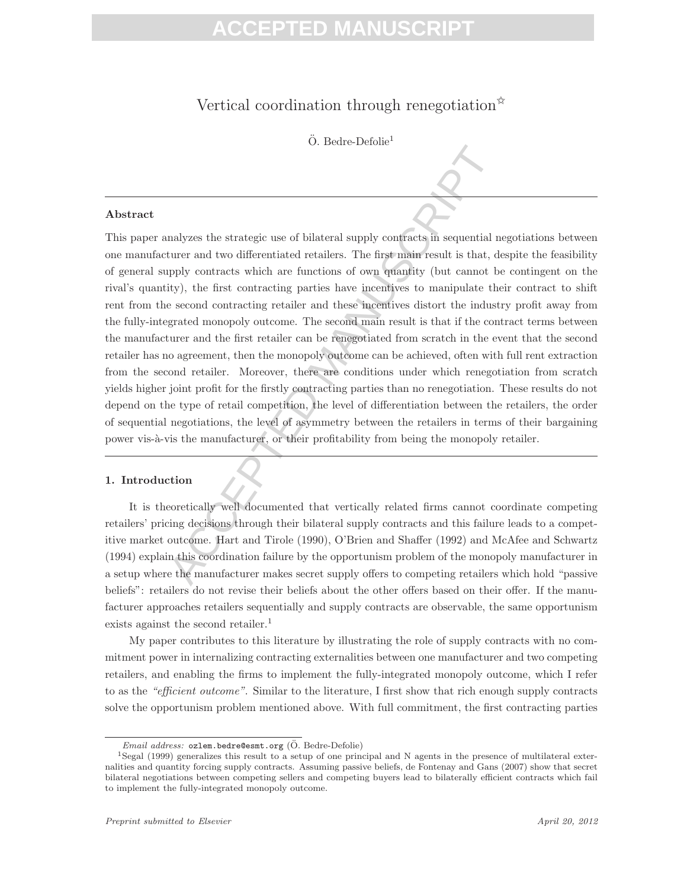#### Vertical coordination through renegotiation<sup> $\hat{\mathbf{x}}$ </sup>

 $\ddot{\mathrm{O}}$ . Bedre-Defolie<sup>1</sup>

#### Abstract

or both the strategic use of bilateral supply contracts in sequential n<br>turer and two differentiated retailers. The first main result is that, depty<br>outneats which are functions of own quantity (but cannot be<br>tigy), the fi This paper analyzes the strategic use of bilateral supply contracts in sequential negotiations between one manufacturer and two differentiated retailers. The first main result is that, despite the feasibility of general supply contracts which are functions of own quantity (but cannot be contingent on the rival's quantity), the first contracting parties have incentives to manipulate their contract to shift rent from the second contracting retailer and these incentives distort the industry profit away from the fully-integrated monopoly outcome. The second main result is that if the contract terms between the manufacturer and the first retailer can be renegotiated from scratch in the event that the second retailer has no agreement, then the monopoly outcome can be achieved, often with full rent extraction from the second retailer. Moreover, there are conditions under which renegotiation from scratch yields higher joint profit for the firstly contracting parties than no renegotiation. These results do not depend on the type of retail competition, the level of differentiation between the retailers, the order of sequential negotiations, the level of asymmetry between the retailers in terms of their bargaining power vis-à-vis the manufacturer, or their profitability from being the monopoly retailer.

#### 1. Introduction

It is theoretically well documented that vertically related firms cannot coordinate competing retailers' pricing decisions through their bilateral supply contracts and this failure leads to a competitive market outcome. Hart and Tirole (1990), O'Brien and Shaffer (1992) and McAfee and Schwartz (1994) explain this coordination failure by the opportunism problem of the monopoly manufacturer in a setup where the manufacturer makes secret supply offers to competing retailers which hold "passive beliefs": retailers do not revise their beliefs about the other offers based on their offer. If the manufacturer approaches retailers sequentially and supply contracts are observable, the same opportunism exists against the second retailer.<sup>1</sup>

My paper contributes to this literature by illustrating the role of supply contracts with no commitment power in internalizing contracting externalities between one manufacturer and two competing retailers, and enabling the firms to implement the fully-integrated monopoly outcome, which I refer to as the *"efficient outcome"*. Similar to the literature, I first show that rich enough supply contracts solve the opportunism problem mentioned above. With full commitment, the first contracting parties

 $Email$   $address:$   $ozlem.$  bedre@esmt.org ( $\ddot{O}$ . Bedre-Defolie)

<sup>1</sup>Segal (1999) generalizes this result to a setup of one principal and N agents in the presence of multilateral externalities and quantity forcing supply contracts. Assuming passive beliefs, de Fontenay and Gans (2007) show that secret bilateral negotiations between competing sellers and competing buyers lead to bilaterally efficient contracts which fail to implement the fully-integrated monopoly outcome.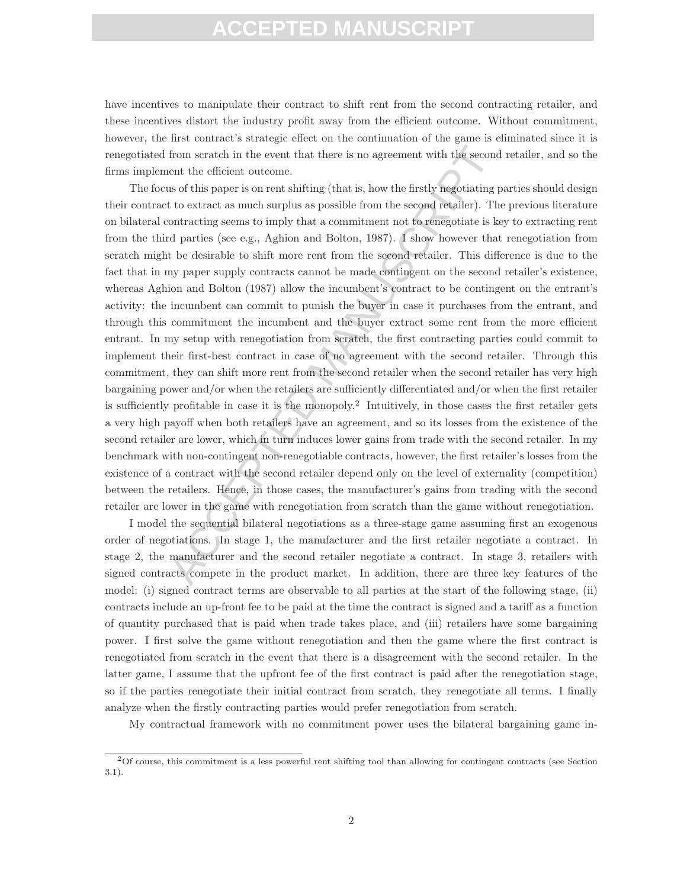have incentives to manipulate their contract to shift rent from the second contracting retailer, and these incentives distort the industry profit away from the efficient outcome. Without commitment, however, the first contract's strategic effect on the continuation of the game is eliminated since it is renegotiated from scratch in the event that there is no agreement with the second retailer, and so the firms implement the efficient outcome.

from scratch in the event that there is no agreement with the second ent the efficient outcome. So of this paper is on rent shifting (that is, how the firstly regotiating position of this to extract as much surplus as pos The focus of this paper is on rent shifting (that is, how the firstly negotiating parties should design their contract to extract as much surplus as possible from the second retailer). The previous literature on bilateral contracting seems to imply that a commitment not to renegotiate is key to extracting rent from the third parties (see e.g., Aghion and Bolton, 1987). I show however that renegotiation from scratch might be desirable to shift more rent from the second retailer. This difference is due to the fact that in my paper supply contracts cannot be made contingent on the second retailer's existence, whereas Aghion and Bolton (1987) allow the incumbent's contract to be contingent on the entrant's activity: the incumbent can commit to punish the buyer in case it purchases from the entrant, and through this commitment the incumbent and the buyer extract some rent from the more efficient entrant. In my setup with renegotiation from scratch, the first contracting parties could commit to implement their first-best contract in case of no agreement with the second retailer. Through this commitment, they can shift more rent from the second retailer when the second retailer has very high bargaining power and/or when the retailers are sufficiently differentiated and/or when the first retailer is sufficiently profitable in case it is the monopoly.<sup>2</sup> Intuitively, in those cases the first retailer gets a very high payoff when both retailers have an agreement, and so its losses from the existence of the second retailer are lower, which in turn induces lower gains from trade with the second retailer. In my benchmark with non-contingent non-renegotiable contracts, however, the first retailer's losses from the existence of a contract with the second retailer depend only on the level of externality (competition) between the retailers. Hence, in those cases, the manufacturer's gains from trading with the second retailer are lower in the game with renegotiation from scratch than the game without renegotiation.

I model the sequential bilateral negotiations as a three-stage game assuming first an exogenous order of negotiations. In stage 1, the manufacturer and the first retailer negotiate a contract. In stage 2, the manufacturer and the second retailer negotiate a contract. In stage 3, retailers with signed contracts compete in the product market. In addition, there are three key features of the model: (i) signed contract terms are observable to all parties at the start of the following stage, (ii) contracts include an up-front fee to be paid at the time the contract is signed and a tariff as a function of quantity purchased that is paid when trade takes place, and (iii) retailers have some bargaining power. I first solve the game without renegotiation and then the game where the first contract is renegotiated from scratch in the event that there is a disagreement with the second retailer. In the latter game, I assume that the upfront fee of the first contract is paid after the renegotiation stage, so if the parties renegotiate their initial contract from scratch, they renegotiate all terms. I finally analyze when the firstly contracting parties would prefer renegotiation from scratch.

My contractual framework with no commitment power uses the bilateral bargaining game in-

<sup>2</sup>Of course, this commitment is a less powerful rent shifting tool than allowing for contingent contracts (see Section 3.1).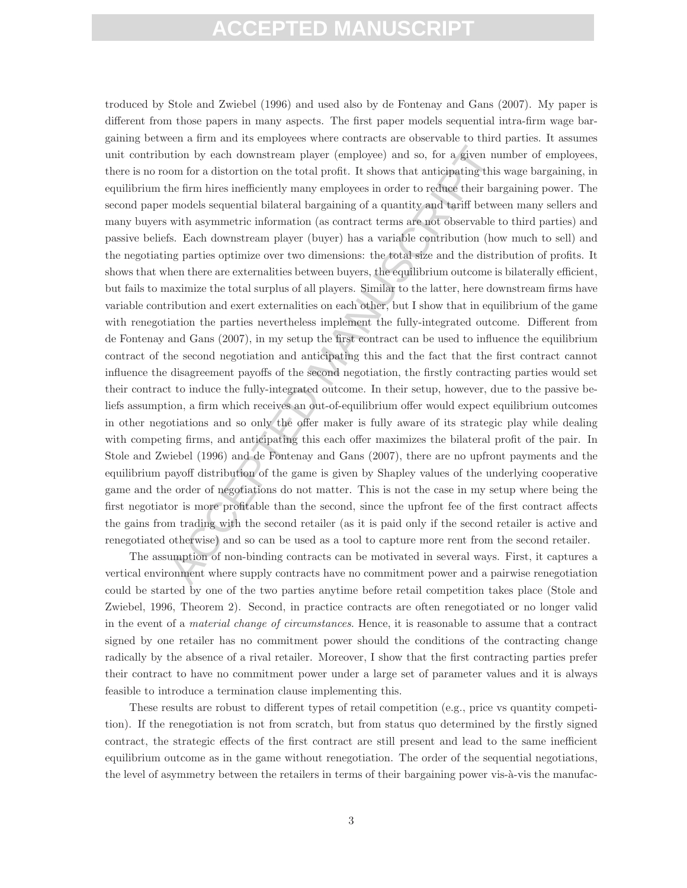ntion by each downstream player (employee) and so, for a given nuo<br>om for a distortion on the total profit. It shows that anticipating this<br>the firm hires inefficiently many employees in order to reduce their bar<br>models s troduced by Stole and Zwiebel (1996) and used also by de Fontenay and Gans (2007). My paper is different from those papers in many aspects. The first paper models sequential intra-firm wage bargaining between a firm and its employees where contracts are observable to third parties. It assumes unit contribution by each downstream player (employee) and so, for a given number of employees, there is no room for a distortion on the total profit. It shows that anticipating this wage bargaining, in equilibrium the firm hires inefficiently many employees in order to reduce their bargaining power. The second paper models sequential bilateral bargaining of a quantity and tariff between many sellers and many buyers with asymmetric information (as contract terms are not observable to third parties) and passive beliefs. Each downstream player (buyer) has a variable contribution (how much to sell) and the negotiating parties optimize over two dimensions: the total size and the distribution of profits. It shows that when there are externalities between buyers, the equilibrium outcome is bilaterally efficient, but fails to maximize the total surplus of all players. Similar to the latter, here downstream firms have variable contribution and exert externalities on each other, but I show that in equilibrium of the game with renegotiation the parties nevertheless implement the fully-integrated outcome. Different from de Fontenay and Gans (2007), in my setup the first contract can be used to influence the equilibrium contract of the second negotiation and anticipating this and the fact that the first contract cannot influence the disagreement payoffs of the second negotiation, the firstly contracting parties would set their contract to induce the fully-integrated outcome. In their setup, however, due to the passive beliefs assumption, a firm which receives an out-of-equilibrium offer would expect equilibrium outcomes in other negotiations and so only the offer maker is fully aware of its strategic play while dealing with competing firms, and anticipating this each offer maximizes the bilateral profit of the pair. In Stole and Zwiebel (1996) and de Fontenay and Gans (2007), there are no upfront payments and the equilibrium payoff distribution of the game is given by Shapley values of the underlying cooperative game and the order of negotiations do not matter. This is not the case in my setup where being the first negotiator is more profitable than the second, since the upfront fee of the first contract affects the gains from trading with the second retailer (as it is paid only if the second retailer is active and renegotiated otherwise) and so can be used as a tool to capture more rent from the second retailer.

The assumption of non-binding contracts can be motivated in several ways. First, it captures a vertical environment where supply contracts have no commitment power and a pairwise renegotiation could be started by one of the two parties anytime before retail competition takes place (Stole and Zwiebel, 1996, Theorem 2). Second, in practice contracts are often renegotiated or no longer valid in the event of a *material change of circumstances*. Hence, it is reasonable to assume that a contract signed by one retailer has no commitment power should the conditions of the contracting change radically by the absence of a rival retailer. Moreover, I show that the first contracting parties prefer their contract to have no commitment power under a large set of parameter values and it is always feasible to introduce a termination clause implementing this.

These results are robust to different types of retail competition (e.g., price vs quantity competition). If the renegotiation is not from scratch, but from status quo determined by the firstly signed contract, the strategic effects of the first contract are still present and lead to the same inefficient equilibrium outcome as in the game without renegotiation. The order of the sequential negotiations, the level of asymmetry between the retailers in terms of their bargaining power vis- $\lambda$ -vis the manufac-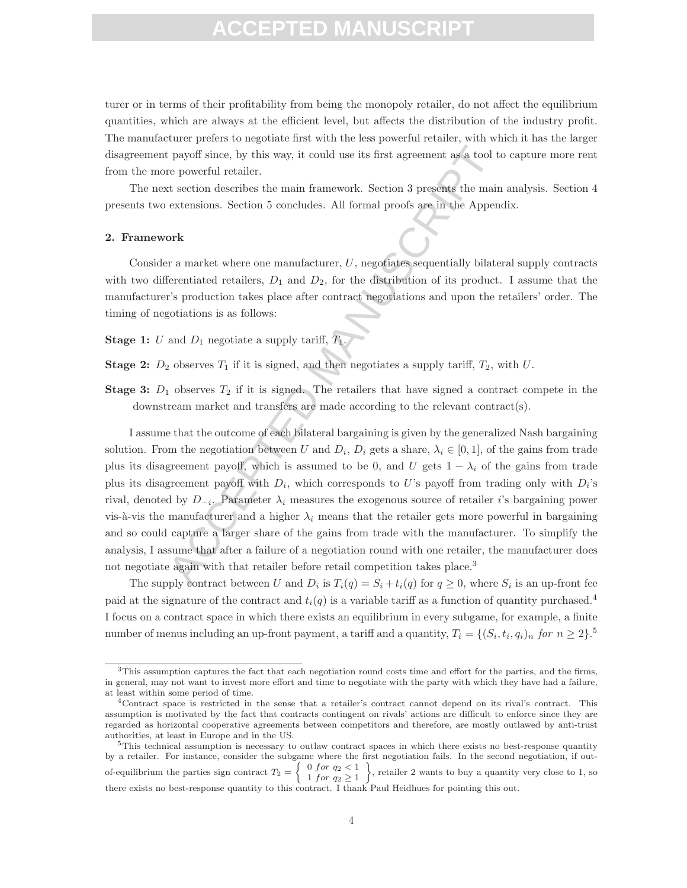turer or in terms of their profitability from being the monopoly retailer, do not affect the equilibrium quantities, which are always at the efficient level, but affects the distribution of the industry profit. The manufacturer prefers to negotiate first with the less powerful retailer, with which it has the larger disagreement payoff since, by this way, it could use its first agreement as a tool to capture more rent from the more powerful retailer.

The next section describes the main framework. Section 3 presents the main analysis. Section 4 presents two extensions. Section 5 concludes. All formal proofs are in the Appendix.

#### 2. Framework

Consider a market where one manufacturer, U, negotiates sequentially bilateral supply contracts with two differentiated retailers,  $D_1$  and  $D_2$ , for the distribution of its product. I assume that the manufacturer's production takes place after contract negotiations and upon the retailers' order. The timing of negotiations is as follows:

**Stage 1:** U and  $D_1$  negotiate a supply tariff,  $T_1$ .

**Stage 2:**  $D_2$  observes  $T_1$  if it is signed, and then negotiates a supply tariff,  $T_2$ , with  $U$ .

**Stage 3:**  $D_1$  observes  $T_2$  if it is signed. The retailers that have signed a contract compete in the downstream market and transfers are made according to the relevant contract(s).

i payoff since, by this way, it could use its first agreement as a tool to<br>re powerful retailer.<br>t section describes the main framework. Section 3 presents the main<br>extensions. Section 5 concludes. All formal proofs are i I assume that the outcome of each bilateral bargaining is given by the generalized Nash bargaining solution. From the negotiation between U and  $D_i$ ,  $D_i$  gets a share,  $\lambda_i \in [0,1]$ , of the gains from trade plus its disagreement payoff, which is assumed to be 0, and U gets  $1 - \lambda_i$  of the gains from trade plus its disagreement payoff with  $D_i$ , which corresponds to U's payoff from trading only with  $D_i$ 's rival, denoted by  $D_{-i}$ . Parameter  $\lambda_i$  measures the exogenous source of retailer i's bargaining power vis- $\lambda$ -vis the manufacturer and a higher  $\lambda_i$  means that the retailer gets more powerful in bargaining and so could capture a larger share of the gains from trade with the manufacturer. To simplify the analysis, I assume that after a failure of a negotiation round with one retailer, the manufacturer does not negotiate again with that retailer before retail competition takes place.<sup>3</sup>

The supply contract between U and  $D_i$  is  $T_i(q) = S_i + t_i(q)$  for  $q \ge 0$ , where  $S_i$  is an up-front fee paid at the signature of the contract and  $t_i(q)$  is a variable tariff as a function of quantity purchased.<sup>4</sup> I focus on a contract space in which there exists an equilibrium in every subgame, for example, a finite number of menus including an up-front payment, a tariff and a quantity,  $T_i = \{(S_i, t_i, q_i)_n \text{ for } n \geq 2\}$ .<sup>5</sup>

<sup>&</sup>lt;sup>3</sup>This assumption captures the fact that each negotiation round costs time and effort for the parties, and the firms, in general, may not want to invest more effort and time to negotiate with the party with which they have had a failure, at least within some period of time.

<sup>4</sup>Contract space is restricted in the sense that a retailer's contract cannot depend on its rival's contract. This assumption is motivated by the fact that contracts contingent on rivals' actions are difficult to enforce since they are regarded as horizontal cooperative agreements between competitors and therefore, are mostly outlawed by anti-trust authorities, at least in Europe and in the US.

 $5$ This technical assumption is necessary to outlaw contract spaces in which there exists no best-response quantity by a retailer. For instance, consider the subgame where the first negotiation fails. In the second negotiation, if outof-equilibrium the parties sign contract  $T_2 = \begin{cases} 0 \text{ for } q_2 < 1 \\ 1 \text{ for } q_2 > 1 \end{cases}$ 1 for  $q_2 \geq 1$  , retailer 2 wants to buy a quantity very close to 1, so there exists no best-response quantity to this contract. I thank Paul Heidhues for pointing this out.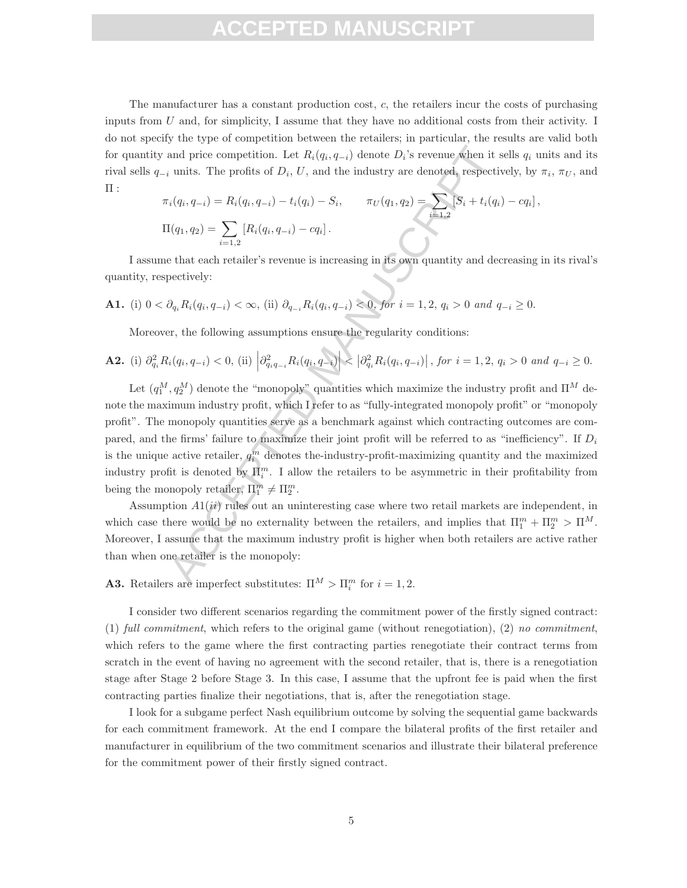The manufacturer has a constant production cost, c, the retailers incur the costs of purchasing inputs from U and, for simplicity, I assume that they have no additional costs from their activity. I do not specify the type of competition between the retailers; in particular, the results are valid both for quantity and price competition. Let  $R_i(q_i, q_{-i})$  denote  $D_i$ 's revenue when it sells  $q_i$  units and its rival sells  $q_{-i}$  units. The profits of  $D_i$ , U, and the industry are denoted, respectively, by  $\pi_i$ ,  $\pi_U$ , and Π :

$$
\pi_i(q_i, q_{-i}) = R_i(q_i, q_{-i}) - t_i(q_i) - S_i, \qquad \pi_U(q_1, q_2) = \sum_{i=1,2} [S_i + t_i(q_i) - cq_i],
$$
  
\n
$$
\Pi(q_1, q_2) = \sum_{i=1,2} [R_i(q_i, q_{-i}) - cq_i].
$$

I assume that each retailer's revenue is increasing in its own quantity and decreasing in its rival's quantity, respectively:

**A1.** (i) 
$$
0 < \partial_{q_i} R_i(q_i, q_{-i}) < \infty
$$
, (ii)  $\partial_{q_{-i}} R_i(q_i, q_{-i}) < 0$ , for  $i = 1, 2, q_i > 0$  and  $q_{-i} \ge 0$ .

Moreover, the following assumptions ensure the regularity conditions:

**A2.** (i) 
$$
\partial_{q_i}^2 R_i(q_i, q_{-i}) < 0
$$
, (ii)  $\left| \partial_{q_i q_{-i}}^2 R_i(q_i, q_{-i}) \right| < \left| \partial_{q_i}^2 R_i(q_i, q_{-i}) \right|$ , for  $i = 1, 2, q_i > 0$  and  $q_{-i} \ge 0$ .

and price competition. Let  $R_i(q_i, q_{-i})$  denote  $D_i$ 's revenue when it s<br>
is units. The profits of  $D_i$ ,  $U$ , and the industry are denoted, respective<br>  $\tau_i(q_i, q_{-i}) = R_i(q_i, q_{-i}) - t_i(q_i) - S_i$ ,  $\pi_U(q_1, q_2) = \sum_{i=1,2} |S_i + t_i(q_i)$ <br> Let  $(q_1^M, q_2^M)$  denote the "monopoly" quantities which maximize the industry profit and  $\Pi^M$  denote the maximum industry profit, which I refer to as "fully-integrated monopoly profit" or "monopoly profit". The monopoly quantities serve as a benchmark against which contracting outcomes are compared, and the firms' failure to maximize their joint profit will be referred to as "inefficiency". If  $D_i$ is the unique active retailer,  $q_i^m$  denotes the-industry-profit-maximizing quantity and the maximized industry profit is denoted by  $\Pi_i^m$ . I allow the retailers to be asymmetric in their profitability from being the monopoly retailer,  $\Pi_1^m \neq \Pi_2^m$ .

Assumption  $A1(ii)$  rules out an uninteresting case where two retail markets are independent, in which case there would be no externality between the retailers, and implies that  $\Pi_1^m + \Pi_2^m > \Pi^M$ . Moreover, I assume that the maximum industry profit is higher when both retailers are active rather than when one retailer is the monopoly:

**A3.** Retailers are imperfect substitutes:  $\Pi^M > \Pi_i^m$  for  $i = 1, 2$ .

I consider two different scenarios regarding the commitment power of the firstly signed contract: (1) *full commitment*, which refers to the original game (without renegotiation), (2) *no commitment*, which refers to the game where the first contracting parties renegotiate their contract terms from scratch in the event of having no agreement with the second retailer, that is, there is a renegotiation stage after Stage 2 before Stage 3. In this case, I assume that the upfront fee is paid when the first contracting parties finalize their negotiations, that is, after the renegotiation stage.

I look for a subgame perfect Nash equilibrium outcome by solving the sequential game backwards for each commitment framework. At the end I compare the bilateral profits of the first retailer and manufacturer in equilibrium of the two commitment scenarios and illustrate their bilateral preference for the commitment power of their firstly signed contract.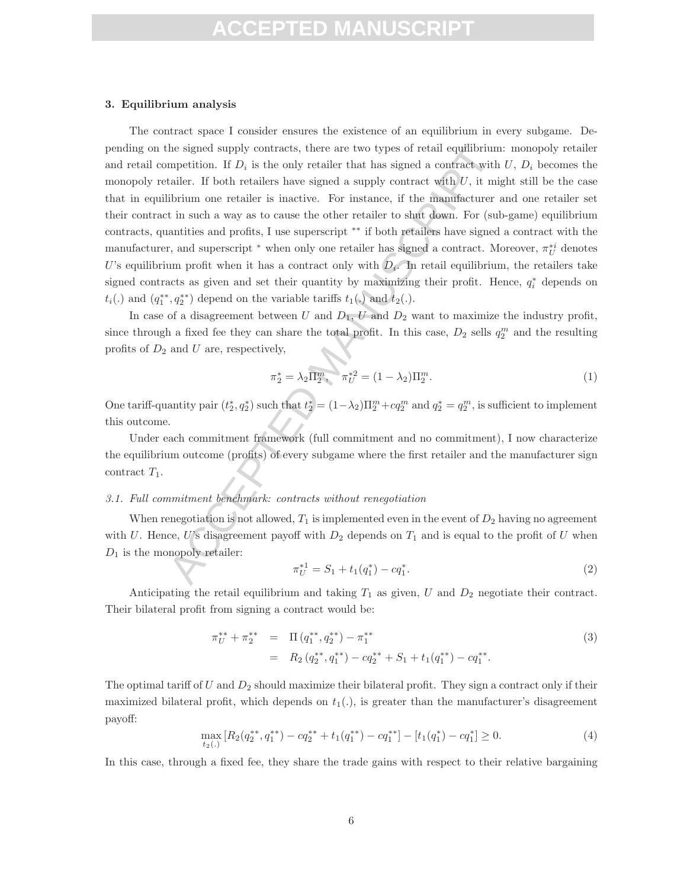#### 3. Equilibrium analysis

he signed supply contracts, there are two types of retail equilibrium<br>metrition. If  $D_i$  is the only retailer that has signed a contract with<br>tailer. If both retailers have signed a supply contract with<br>U. it implibrium o The contract space I consider ensures the existence of an equilibrium in every subgame. Depending on the signed supply contracts, there are two types of retail equilibrium: monopoly retailer and retail competition. If  $D_i$  is the only retailer that has signed a contract with U,  $D_i$  becomes the monopoly retailer. If both retailers have signed a supply contract with  $U$ , it might still be the case that in equilibrium one retailer is inactive. For instance, if the manufacturer and one retailer set their contract in such a way as to cause the other retailer to shut down. For (sub-game) equilibrium contracts, quantities and profits, I use superscript ∗∗ if both retailers have signed a contract with the manufacturer, and superscript  $*$  when only one retailer has signed a contract. Moreover,  $\pi_U^{*i}$  denotes U's equilibrium profit when it has a contract only with  $D_i$ . In retail equilibrium, the retailers take signed contracts as given and set their quantity by maximizing their profit. Hence,  $q_i^*$  depends on  $t_i(.)$  and  $(q_1^{**}, q_2^{**})$  depend on the variable tariffs  $t_1(.)$  and  $t_2(.)$ .

In case of a disagreement between U and  $D_1$ , U and  $D_2$  want to maximize the industry profit, since through a fixed fee they can share the total profit. In this case,  $D_2$  sells  $q_2^m$  and the resulting profits of  $D_2$  and  $U$  are, respectively,

$$
\pi_2^* = \lambda_2 \Pi_2^m, \quad \pi_U^{*2} = (1 - \lambda_2) \Pi_2^m.
$$
 (1)

One tariff-quantity pair  $(t_2^*, q_2^*)$  such that  $t_2^* = (1 - \lambda_2) \Pi_2^m + c q_2^m$  and  $q_2^* = q_2^m$ , is sufficient to implement this outcome.

Under each commitment framework (full commitment and no commitment), I now characterize the equilibrium outcome (profits) of every subgame where the first retailer and the manufacturer sign contract  $T_1$ .

#### *3.1. Full commitment benchmark: contracts without renegotiation*

When renegotiation is not allowed,  $T_1$  is implemented even in the event of  $D_2$  having no agreement with U. Hence, U's disagreement payoff with  $D_2$  depends on  $T_1$  and is equal to the profit of U when  $D_1$  is the monopoly retailer:

$$
\pi_U^{*1} = S_1 + t_1(q_1^*) - cq_1^*.
$$
\n(2)

Anticipating the retail equilibrium and taking  $T_1$  as given, U and  $D_2$  negotiate their contract. Their bilateral profit from signing a contract would be:

$$
\pi_U^{**} + \pi_2^{**} = \Pi(q_1^{**}, q_2^{**}) - \pi_1^{**}
$$
\n
$$
= R_2(q_2^{**}, q_1^{**}) - cq_2^{**} + S_1 + t_1(q_1^{**}) - cq_1^{**}.
$$
\n(3)

The optimal tariff of U and  $D_2$  should maximize their bilateral profit. They sign a contract only if their maximized bilateral profit, which depends on  $t_1(.)$ , is greater than the manufacturer's disagreement payoff:

$$
\max_{t_2(.)} \left[ R_2(q_2^{**}, q_1^{**}) - cq_2^{**} + t_1(q_1^{**}) - cq_1^{**} \right] - \left[ t_1(q_1^*) - cq_1^* \right] \ge 0. \tag{4}
$$

In this case, through a fixed fee, they share the trade gains with respect to their relative bargaining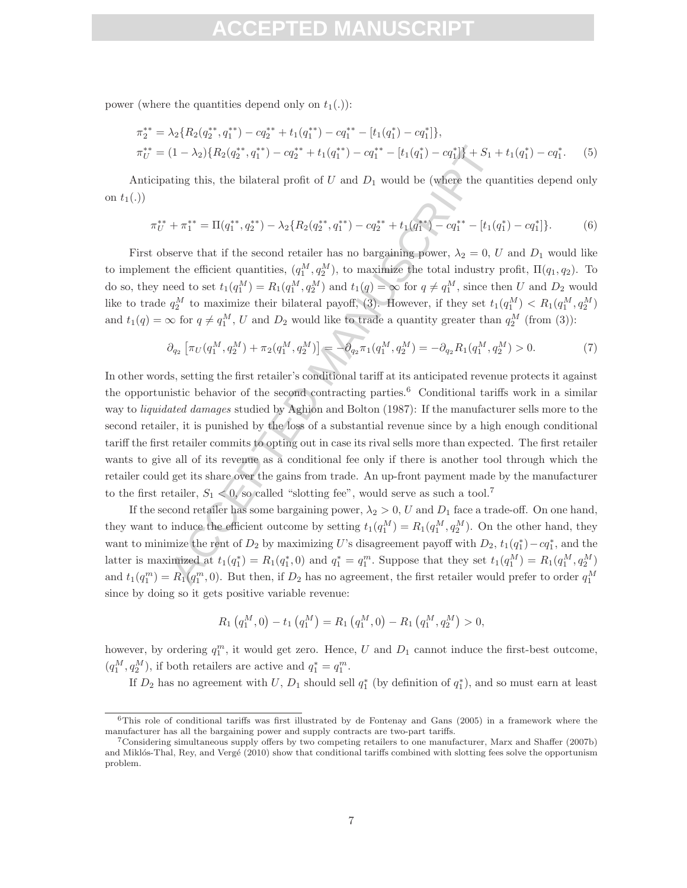power (where the quantities depend only on  $t_1(.)$ ):

$$
\pi_2^{**} = \lambda_2 \{ R_2(q_2^{**}, q_1^{**}) - cq_2^{**} + t_1(q_1^{**}) - cq_1^{**} - [t_1(q_1^{*}) - cq_1^{*}] \},
$$
  
\n
$$
\pi_U^{**} = (1 - \lambda_2) \{ R_2(q_2^{**}, q_1^{**}) - cq_2^{**} + t_1(q_1^{**}) - cq_1^{**} - [t_1(q_1^{*}) - cq_1^{*}] \} + S_1 + t_1(q_1^{*}) - cq_1^{*}.
$$
 (5)

Anticipating this, the bilateral profit of  $U$  and  $D_1$  would be (where the quantities depend only on  $t_1(.)$ 

$$
\pi_U^{**} + \pi_1^{**} = \Pi(q_1^{**}, q_2^{**}) - \lambda_2 \{ R_2(q_2^{**}, q_1^{**}) - cq_2^{**} + t_1(q_1^{**}) - cq_1^{**} - [t_1(q_1^{*}) - cq_1^{*}] \}.
$$
 (6)

First observe that if the second retailer has no bargaining power,  $\lambda_2 = 0$ , U and  $D_1$  would like to implement the efficient quantities,  $(q_1^M, q_2^M)$ , to maximize the total industry profit,  $\Pi(q_1, q_2)$ . To do so, they need to set  $t_1(q_1^M) = R_1(q_1^M, q_2^M)$  and  $t_1(q) = \infty$  for  $q \neq q_1^M$ , since then U and  $D_2$  would like to trade  $q_2^M$  to maximize their bilateral payoff, (3). However, if they set  $t_1(q_1^M) < R_1(q_1^M, q_2^M)$ and  $t_1(q) = \infty$  for  $q \neq q_1^M$ , U and  $D_2$  would like to trade a quantity greater than  $q_2^M$  (from (3)):

$$
\partial_{q_2} \left[ \pi_U(q_1^M, q_2^M) + \pi_2(q_1^M, q_2^M) \right] = -\partial_{q_2} \pi_1(q_1^M, q_2^M) = -\partial_{q_2} R_1(q_1^M, q_2^M) > 0. \tag{7}
$$

 $(1-\lambda_2)\{R_2(q_2^{**},q_1^{**})-cq_2^{**}+t_1(q_1^{**})-cq_1^{**}+t_1(q_1^{*-})-cq_1^{**}\}+S_1+\label{eq:4}$  ating this, the bilateral profit of<br> $U$  and  $D_1$  would be (where the quadret are<br> $\pi_1^{**}=\Pi(q_1^{**},q_2^{**})-\lambda_2\{R_2(q_2^{**},q_1^{**})-cq_2^{**}+t_1(q_1^{**})$ In other words, setting the first retailer's conditional tariff at its anticipated revenue protects it against the opportunistic behavior of the second contracting parties.<sup>6</sup> Conditional tariffs work in a similar way to *liquidated damages* studied by Aghion and Bolton (1987): If the manufacturer sells more to the second retailer, it is punished by the loss of a substantial revenue since by a high enough conditional tariff the first retailer commits to opting out in case its rival sells more than expected. The first retailer wants to give all of its revenue as a conditional fee only if there is another tool through which the retailer could get its share over the gains from trade. An up-front payment made by the manufacturer to the first retailer,  $S_1 < 0$ , so called "slotting fee", would serve as such a tool.<sup>7</sup>

If the second retailer has some bargaining power,  $\lambda_2 > 0$ , U and  $D_1$  face a trade-off. On one hand, they want to induce the efficient outcome by setting  $t_1(q_1^M) = R_1(q_1^M, q_2^M)$ . On the other hand, they want to minimize the rent of  $D_2$  by maximizing U's disagreement payoff with  $D_2$ ,  $t_1(q_1^*) - cq_1^*$ , and the latter is maximized at  $t_1(q_1^*) = R_1(q_1^*,0)$  and  $q_1^* = q_1^m$ . Suppose that they set  $t_1(q_1^M) = R_1(q_1^M, q_2^M)$ and  $t_1(q_1^m) = R_1(q_1^m, 0)$ . But then, if  $D_2$  has no agreement, the first retailer would prefer to order  $q_1^M$ since by doing so it gets positive variable revenue:

$$
R_1(q_1^M, 0) - t_1(q_1^M) = R_1(q_1^M, 0) - R_1(q_1^M, q_2^M) > 0,
$$

however, by ordering  $q_1^m$ , it would get zero. Hence, U and  $D_1$  cannot induce the first-best outcome,  $(q_1^M, q_2^M)$ , if both retailers are active and  $q_1^* = q_1^m$ .

If  $D_2$  has no agreement with U,  $D_1$  should sell  $q_1^*$  (by definition of  $q_1^*$ ), and so must earn at least

 $6$ This role of conditional tariffs was first illustrated by de Fontenay and Gans (2005) in a framework where the manufacturer has all the bargaining power and supply contracts are two-part tariffs.

<sup>7</sup>Considering simultaneous supply offers by two competing retailers to one manufacturer, Marx and Shaffer (2007b) and Miklós-Thal, Rey, and Vergé (2010) show that conditional tariffs combined with slotting fees solve the opportunism problem.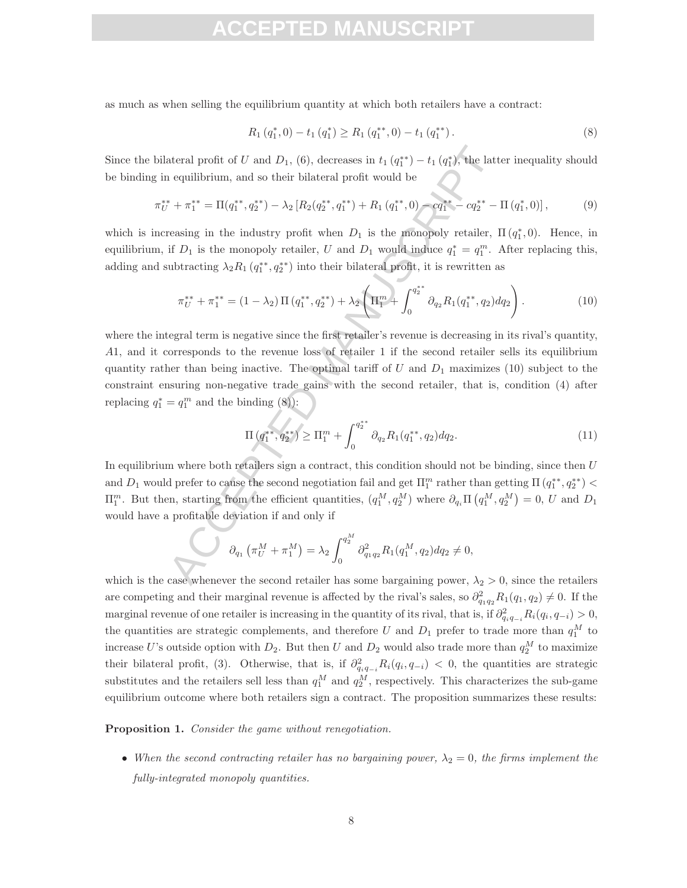#### **PTED MANU**

as much as when selling the equilibrium quantity at which both retailers have a contract:

$$
R_1(q_1^*,0) - t_1(q_1^*) \ge R_1(q_1^{**},0) - t_1(q_1^{**}). \tag{8}
$$

Since the bilateral profit of U and  $D_1$ , (6), decreases in  $t_1 (q_1^{**}) - t_1 (q_1^*)$ , the latter inequality should be binding in equilibrium, and so their bilateral profit would be

$$
\pi_U^{**} + \pi_1^{**} = \Pi(q_1^{**}, q_2^{**}) - \lambda_2 \left[ R_2(q_2^{**}, q_1^{**}) + R_1(q_1^{**}, 0) - cq_1^{**} - cq_2^{**} - \Pi(q_1^{*}, 0) \right],\tag{9}
$$

which is increasing in the industry profit when  $D_1$  is the monopoly retailer,  $\Pi(q_1^*,0)$ . Hence, in equilibrium, if  $D_1$  is the monopoly retailer, U and  $D_1$  would induce  $q_1^* = q_1^m$ . After replacing this, adding and subtracting  $\lambda_2 R_1(q_1^{**}, q_2^{**})$  into their bilateral profit, it is rewritten as

$$
\pi_U^{**} + \pi_1^{**} = (1 - \lambda_2) \Pi \left( q_1^{**}, q_2^{**} \right) + \lambda_2 \left( \Pi_1^m + \int_0^{q_2^{**}} \partial_{q_2} R_1(q_1^{**}, q_2) dq_2 \right). \tag{10}
$$

ateral profit of  $U$  and  $D_1$ , (6), decreases in  $t_1(q_1^{**}) - t_1(q_1^*)$ , the lattical requilibrium, and so their bilateral profit would be<br>  $x^* + \pi_1^{**} = \Pi(q_1^{**}, q_2^{**}) - \lambda_2 [R_2(q_2^{**}, q_1^{**}) + R_1(q_1^{**}, 0) - \alpha q_1^{**} - \alpha q_2^{**} - 1$ where the integral term is negative since the first retailer's revenue is decreasing in its rival's quantity, A1, and it corresponds to the revenue loss of retailer 1 if the second retailer sells its equilibrium quantity rather than being inactive. The optimal tariff of U and  $D_1$  maximizes (10) subject to the constraint ensuring non-negative trade gains with the second retailer, that is, condition (4) after replacing  $q_1^* = q_1^m$  and the binding (8)):

$$
\Pi\left(q_1^{**}, q_2^{**}\right) \ge \Pi_1^m + \int_0^{q_2^{**}} \partial_{q_2} R_1(q_1^{**}, q_2) dq_2. \tag{11}
$$

In equilibrium where both retailers sign a contract, this condition should not be binding, since then  $U$ and  $D_1$  would prefer to cause the second negotiation fail and get  $\Pi_1^m$  rather than getting  $\Pi(q_1^{**}, q_2^{**})$  $\Pi_1^m$ . But then, starting from the efficient quantities,  $(q_1^M, q_2^M)$  where  $\partial_{q_i} \Pi(q_1^M, q_2^M) = 0$ , U and  $D_1$ would have a profitable deviation if and only if

$$
\partial_{q_1} \left( \pi_U^M + \pi_1^M \right) = \lambda_2 \int_0^{q_2^M} \partial_{q_1 q_2}^2 R_1(q_1^M, q_2) dq_2 \neq 0,
$$

which is the case whenever the second retailer has some bargaining power,  $\lambda_2 > 0$ , since the retailers are competing and their marginal revenue is affected by the rival's sales, so  $\partial_{q_1q_2}^2R_1(q_1,q_2)\neq 0$ . If the marginal revenue of one retailer is increasing in the quantity of its rival, that is, if  $\partial_{q_iq_{-i}}^2 R_i(q_i,q_{-i}) > 0$ , the quantities are strategic complements, and therefore U and  $D_1$  prefer to trade more than  $q_1^M$  to increase U's outside option with  $D_2$ . But then U and  $D_2$  would also trade more than  $q_2^M$  to maximize their bilateral profit, (3). Otherwise, that is, if  $\partial^2_{q_i q_{-i}} R_i(q_i, q_{-i}) < 0$ , the quantities are strategic substitutes and the retailers sell less than  $q_1^M$  and  $q_2^M$ , respectively. This characterizes the sub-game equilibrium outcome where both retailers sign a contract. The proposition summarizes these results:

Proposition 1. *Consider the game without renegotiation.*

• When the second contracting retailer has no bargaining power,  $\lambda_2 = 0$ , the firms implement the *fully-integrated monopoly quantities.*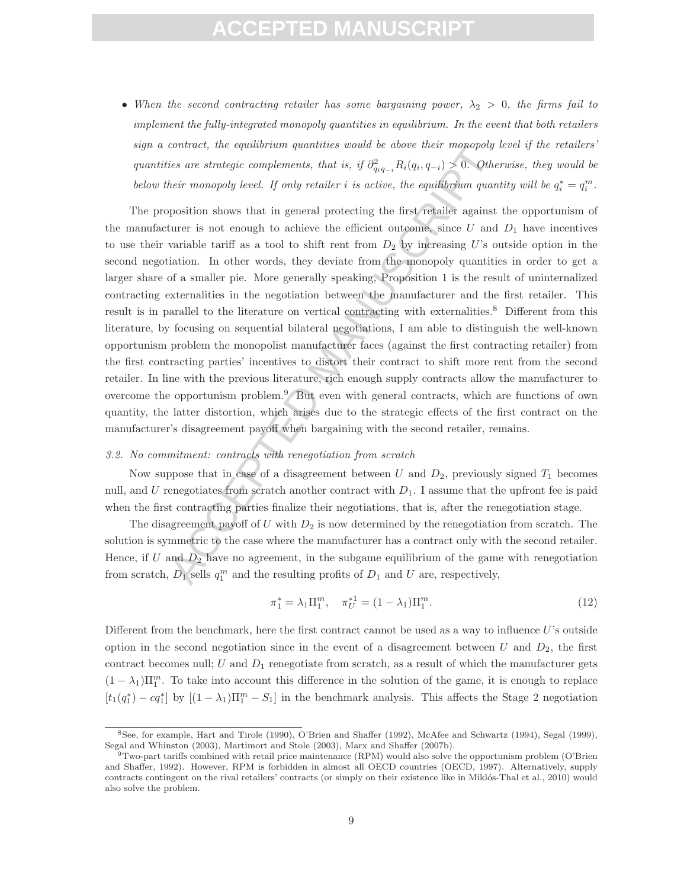• When the second contracting retailer has some bargaining power,  $\lambda_2 > 0$ , the firms fail to *implement the fully-integrated monopoly quantities in equilibrium. In the event that both retailers sign a contract, the equilibrium quantities would be above their monopoly level if the retailers' quantities are strategic complements, that is, if*  $\partial_{q_i q_{-i}}^2 R_i(q_i, q_{-i}) > 0$ *. Otherwise, they would be below their monopoly level. If only retailer i is active, the equilibrium quantity will be*  $q_i^* = q_i^m$ .

contract, the equinorum quantities would be doove their monopoly  $i$ ies are strategic complements, that is, if  $\partial_{q_i q_{-1}}^2 R_i(q_i, q_{-i}) > 0$ . Other<br>heir monopoly level. If only retailer i is active, the equilibrium quant<br>po The proposition shows that in general protecting the first retailer against the opportunism of the manufacturer is not enough to achieve the efficient outcome, since U and  $D_1$  have incentives to use their variable tariff as a tool to shift rent from  $D_2$  by increasing U's outside option in the second negotiation. In other words, they deviate from the monopoly quantities in order to get a larger share of a smaller pie. More generally speaking, Proposition 1 is the result of uninternalized contracting externalities in the negotiation between the manufacturer and the first retailer. This result is in parallel to the literature on vertical contracting with externalities.<sup>8</sup> Different from this literature, by focusing on sequential bilateral negotiations, I am able to distinguish the well-known opportunism problem the monopolist manufacturer faces (against the first contracting retailer) from the first contracting parties' incentives to distort their contract to shift more rent from the second retailer. In line with the previous literature, rich enough supply contracts allow the manufacturer to overcome the opportunism problem.<sup>9</sup> But even with general contracts, which are functions of own quantity, the latter distortion, which arises due to the strategic effects of the first contract on the manufacturer's disagreement payoff when bargaining with the second retailer, remains.

#### *3.2. No commitment: contracts with renegotiation from scratch*

Now suppose that in case of a disagreement between U and  $D_2$ , previously signed  $T_1$  becomes null, and U renegotiates from scratch another contract with  $D_1$ . I assume that the upfront fee is paid when the first contracting parties finalize their negotiations, that is, after the renegotiation stage.

The disagreement payoff of U with  $D_2$  is now determined by the renegotiation from scratch. The solution is symmetric to the case where the manufacturer has a contract only with the second retailer. Hence, if  $U$  and  $D_2$  have no agreement, in the subgame equilibrium of the game with renegotiation from scratch,  $D_1$  sells  $q_1^m$  and the resulting profits of  $D_1$  and U are, respectively,

$$
\pi_1^* = \lambda_1 \Pi_1^m, \quad \pi_U^{*1} = (1 - \lambda_1) \Pi_1^m.
$$
\n(12)

Different from the benchmark, here the first contract cannot be used as a way to influence  $U$ 's outside option in the second negotiation since in the event of a disagreement between  $U$  and  $D_2$ , the first contract becomes null; U and  $D_1$  renegotiate from scratch, as a result of which the manufacturer gets  $(1 - \lambda_1)\Pi_1^m$ . To take into account this difference in the solution of the game, it is enough to replace  $[t_1(q_1^*)-cq_1^*]$  by  $[(1-\lambda_1)\Pi_1^m-S_1]$  in the benchmark analysis. This affects the Stage 2 negotiation

<sup>8</sup>See, for example, Hart and Tirole (1990), O'Brien and Shaffer (1992), McAfee and Schwartz (1994), Segal (1999), Segal and Whinston (2003), Martimort and Stole (2003), Marx and Shaffer (2007b).

 $9Tw$ o-part tariffs combined with retail price maintenance (RPM) would also solve the opportunism problem (O'Brien and Shaffer, 1992). However, RPM is forbidden in almost all OECD countries (OECD, 1997). Alternatively, supply contracts contingent on the rival retailers' contracts (or simply on their existence like in Miklós-Thal et al., 2010) would also solve the problem.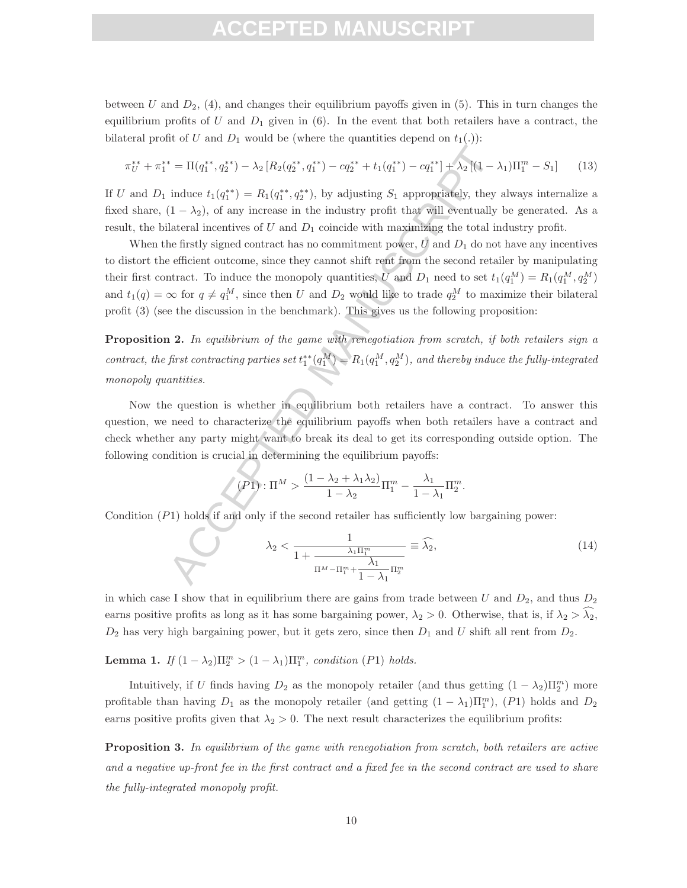between U and  $D_2$ , (4), and changes their equilibrium payoffs given in (5). This in turn changes the equilibrium profits of U and  $D_1$  given in (6). In the event that both retailers have a contract, the bilateral profit of U and  $D_1$  would be (where the quantities depend on  $t_1(.)$ ):

$$
\pi_U^{**} + \pi_1^{**} = \Pi(q_1^{**}, q_2^{**}) - \lambda_2 \left[ R_2(q_2^{**}, q_1^{**}) - cq_2^{**} + t_1(q_1^{**}) - cq_1^{**} \right] + \lambda_2 \left[ (1 - \lambda_1) \Pi_1^m - S_1 \right] \tag{13}
$$

If U and  $D_1$  induce  $t_1(q_1^{**}) = R_1(q_1^{**}, q_2^{**})$ , by adjusting  $S_1$  appropriately, they always internalize a fixed share,  $(1 - \lambda_2)$ , of any increase in the industry profit that will eventually be generated. As a result, the bilateral incentives of U and  $D_1$  coincide with maximizing the total industry profit.

 $\begin{split} \star &= \Pi(q_1^{**},q_2^{**}) - \lambda_2 \left[ R_2(q_2^{**},q_1^{**}) - cq_2^{**} + t_1(q_1^{**}) - cq_1^{**} \right] + \lambda_2 \left[ (1-\lambda_2) \right. \\ \text{induce } t_1(q_1^{**}) &= R_1(q_1^{**},q_2^{**}), \text{ by adjusting } S_1 \text{ appropriately, they is } \\ (1-\lambda_2), \text{ of any increase in the industry profit that will eventually lateral incentives of  $U \text{ and } D_1 \text{ coincide with maximizing the total in the first term. \\ \text{the first term, we can use the most a significant power, } \hat{U} \text{ and }$$ When the firstly signed contract has no commitment power,  $U$  and  $D_1$  do not have any incentives to distort the efficient outcome, since they cannot shift rent from the second retailer by manipulating their first contract. To induce the monopoly quantities, U and  $D_1$  need to set  $t_1(q_1^M) = R_1(q_1^M, q_2^M)$ and  $t_1(q) = \infty$  for  $q \neq q_1^M$ , since then U and  $D_2$  would like to trade  $q_2^M$  to maximize their bilateral profit (3) (see the discussion in the benchmark). This gives us the following proposition:

Proposition 2. *In equilibrium of the game with renegotiation from scratch, if both retailers sign a*  $contract, the first contracting parties set  $t_1^{**}(q_1^M) = R_1(q_1^M, q_2^M)$ , and thereby induce the fully-integrated$ *monopoly quantities.*

Now the question is whether in equilibrium both retailers have a contract. To answer this question, we need to characterize the equilibrium payoffs when both retailers have a contract and check whether any party might want to break its deal to get its corresponding outside option. The following condition is crucial in determining the equilibrium payoffs:

$$
(P1): \Pi^M > \frac{(1-\lambda_2+\lambda_1\lambda_2)}{1-\lambda_2} \Pi_1^m - \frac{\lambda_1}{1-\lambda_1} \Pi_2^m.
$$

Condition  $(P1)$  holds if and only if the second retailer has sufficiently low bargaining power:

$$
\lambda_2 < \frac{1}{1 + \frac{\lambda_1 \Pi_1^m}{\Pi^M - \Pi_1^m + \frac{\lambda_1}{1 - \lambda_1} \Pi_2^m}} \equiv \widehat{\lambda_2},\tag{14}
$$

in which case I show that in equilibrium there are gains from trade between  $U$  and  $D_2$ , and thus  $D_2$ earns positive profits as long as it has some bargaining power,  $\lambda_2 > 0$ . Otherwise, that is, if  $\lambda_2 > \lambda_2$ ,  $D_2$  has very high bargaining power, but it gets zero, since then  $D_1$  and U shift all rent from  $D_2$ .

**Lemma 1.** *If*  $(1 - \lambda_2)\Pi_2^m > (1 - \lambda_1)\Pi_1^m$ , *condition* (P1) *holds.* 

Intuitively, if U finds having  $D_2$  as the monopoly retailer (and thus getting  $(1 - \lambda_2) \Pi_2^m$ ) more profitable than having  $D_1$  as the monopoly retailer (and getting  $(1 - \lambda_1)\Pi_1^m$ ),  $(P1)$  holds and  $D_2$ earns positive profits given that  $\lambda_2 > 0$ . The next result characterizes the equilibrium profits:

Proposition 3. *In equilibrium of the game with renegotiation from scratch, both retailers are active and a negative up-front fee in the first contract and a fixed fee in the second contract are used to share the fully-integrated monopoly profit.*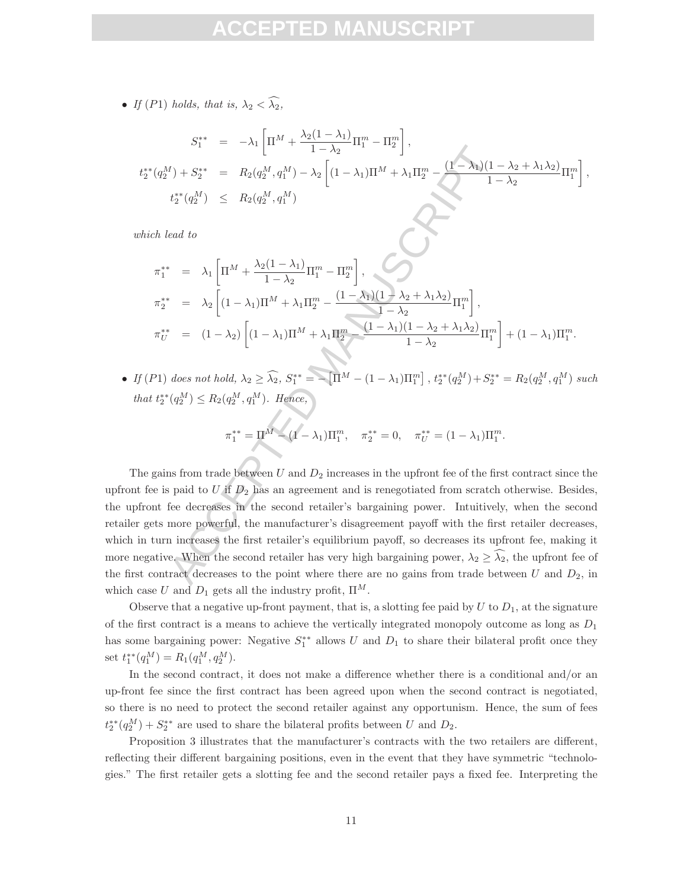• *If* (P1) *holds, that is,*  $\lambda_2 < \widehat{\lambda_2}$ ,

$$
S_1^{**} = -\lambda_1 \left[ \Pi^M + \frac{\lambda_2 (1 - \lambda_1)}{1 - \lambda_2} \Pi_1^m - \Pi_2^m \right],
$$
  
\n
$$
t_2^{**} (q_2^M) + S_2^{**} = R_2(q_2^M, q_1^M) - \lambda_2 \left[ (1 - \lambda_1) \Pi^M + \lambda_1 \Pi_2^m - \frac{(1 - \lambda_1)(1 - \lambda_2 + \lambda_1 \lambda_2)}{1 - \lambda_2} \Pi_1^m \right],
$$
  
\n
$$
t_2^{**} (q_2^M) \leq R_2(q_2^M, q_1^M)
$$

*which lead to*

$$
\begin{array}{rcl}\n\pi_1^{**} &=& \lambda_1 \left[ \Pi^M + \dfrac{\lambda_2 (1 - \lambda_1)}{1 - \lambda_2} \Pi_1^m - \Pi_2^m \right], \\
\pi_2^{**} &=& \lambda_2 \left[ (1 - \lambda_1) \Pi^M + \lambda_1 \Pi_2^m - \dfrac{(1 - \lambda_1)(1 - \lambda_2 + \lambda_1 \lambda_2)}{1 - \lambda_2} \Pi_1^m \right], \\
\pi_U^{**} &=& (1 - \lambda_2) \left[ (1 - \lambda_1) \Pi^M + \lambda_1 \Pi_2^m - \dfrac{(1 - \lambda_1)(1 - \lambda_2 + \lambda_1 \lambda_2)}{1 - \lambda_2} \Pi_1^m \right] + (1 - \lambda_1) \Pi_1^m.\n\end{array}
$$

• *If* (P1) *does not hold,*  $\lambda_2 \ge \widehat{\lambda_2}$ ,  $S_1^{**} = -[\Pi^M - (1 - \lambda_1)\Pi_1^m]$ ,  $t_2^{**}(q_2^M) + S_2^{**} = R_2(q_2^M, q_1^M)$  such *that*  $t_2^{**}(q_2^M) \le R_2(q_2^M, q_1^M)$ *. Hence,* 

$$
\pi_1^{**} = \Pi^M - (1 - \lambda_1)\Pi_1^m, \quad \pi_2^{**} = 0, \quad \pi_U^{**} = (1 - \lambda_1)\Pi_1^m.
$$

 $\begin{array}{rcl} \mathcal{S}_1 &=& \mathcal{N}_1 \left[ \begin{matrix} \cdots & & & & & & \\ & & & & & & \\ \end{matrix} \right], \quad S_2^{**} &=& R_2(q_2^M,q_1^M)-\lambda_2 \left[ (1-\lambda_1)\Pi^M+\lambda_1\Pi_2^m - \frac{(1-\lambda_1)(1-\lambda_2^M)(1-\lambda_2^M)(1-\lambda_2^M)}{1-\lambda_2^M} \right],\\ \mathcal{E}_2^{**}(q_2^M) &\leq & R_2(q_2^M,q_1^M)\\ \end{matrix}\\ \begin{matrix} \mathcal{E}_2^{**} &=& \lambda_1 \left[$ The gains from trade between  $U$  and  $D_2$  increases in the upfront fee of the first contract since the upfront fee is paid to U if  $D_2$  has an agreement and is renegotiated from scratch otherwise. Besides, the upfront fee decreases in the second retailer's bargaining power. Intuitively, when the second retailer gets more powerful, the manufacturer's disagreement payoff with the first retailer decreases, which in turn increases the first retailer's equilibrium payoff, so decreases its upfront fee, making it more negative. When the second retailer has very high bargaining power,  $\lambda_2 \geq \widehat{\lambda}_2$ , the upfront fee of the first contract decreases to the point where there are no gains from trade between  $U$  and  $D_2$ , in which case U and  $D_1$  gets all the industry profit,  $\Pi^M$ .

Observe that a negative up-front payment, that is, a slotting fee paid by  $U$  to  $D_1$ , at the signature of the first contract is a means to achieve the vertically integrated monopoly outcome as long as  $D_1$ has some bargaining power: Negative  $S_1^{**}$  allows U and  $D_1$  to share their bilateral profit once they set  $t_1^{**}(q_1^M) = R_1(q_1^M, q_2^M)$ .

In the second contract, it does not make a difference whether there is a conditional and/or an up-front fee since the first contract has been agreed upon when the second contract is negotiated, so there is no need to protect the second retailer against any opportunism. Hence, the sum of fees  $t_2^{**}(q_2^M) + S_2^{**}$  are used to share the bilateral profits between U and  $D_2$ .

Proposition 3 illustrates that the manufacturer's contracts with the two retailers are different, reflecting their different bargaining positions, even in the event that they have symmetric "technologies." The first retailer gets a slotting fee and the second retailer pays a fixed fee. Interpreting the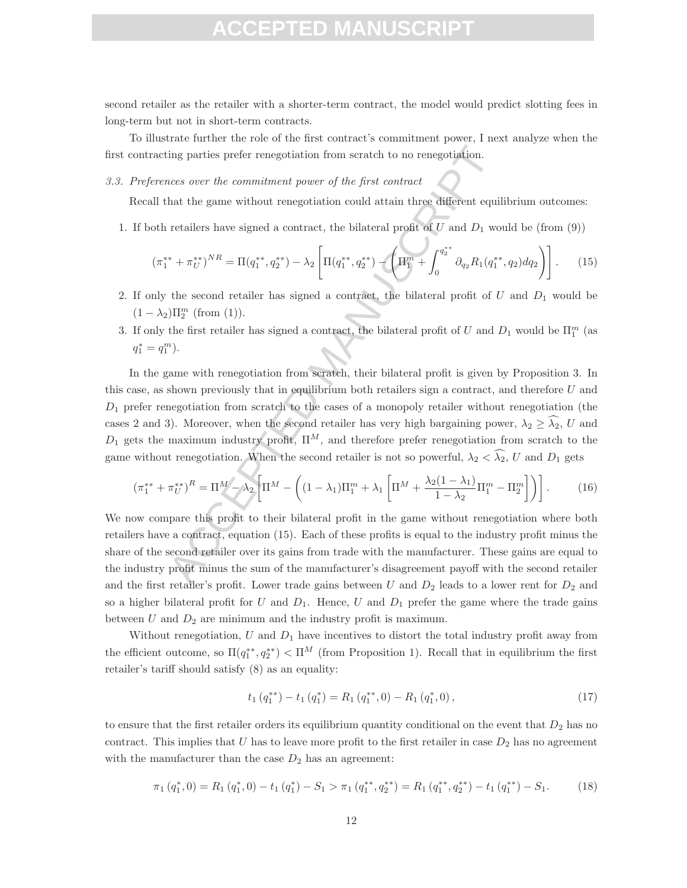second retailer as the retailer with a shorter-term contract, the model would predict slotting fees in long-term but not in short-term contracts.

To illustrate further the role of the first contract's commitment power, I next analyze when the first contracting parties prefer renegotiation from scratch to no renegotiation.

*3.3. Preferences over the commitment power of the first contract*

Recall that the game without renegotiation could attain three different equilibrium outcomes:

1. If both retailers have signed a contract, the bilateral profit of  $U$  and  $D_1$  would be (from (9))

$$
\left(\pi_1^{**} + \pi_U^{**}\right)^{NR} = \Pi(q_1^{**}, q_2^{**}) - \lambda_2 \left[\Pi(q_1^{**}, q_2^{**}) - \left(\Pi_1^m + \int_0^{q_2^{**}} \partial_{q_2} R_1(q_1^{**}, q_2) dq_2\right)\right].\tag{15}
$$

- 2. If only the second retailer has signed a contract, the bilateral profit of  $U$  and  $D_1$  would be  $(1 - \lambda_2) \Pi_2^m$  (from (1)).
- 3. If only the first retailer has signed a contract, the bilateral profit of U and  $D_1$  would be  $\Pi_1^m$  (as  $q_1^* = q_1^m$ .

ing parties prefer renegotiation from scratch to no renegotiation.<br>
accs over the commitment power of the first contract<br>
hat the game without renegotiation could attain three different equil<br>
retailers have signed a cont In the game with renegotiation from scratch, their bilateral profit is given by Proposition 3. In this case, as shown previously that in equilibrium both retailers sign a contract, and therefore  $U$  and  $D_1$  prefer renegotiation from scratch to the cases of a monopoly retailer without renegotiation (the cases 2 and 3). Moreover, when the second retailer has very high bargaining power,  $\lambda_2 \geq \lambda_2$ , U and  $D_1$  gets the maximum industry profit,  $\Pi^M$ , and therefore prefer renegotiation from scratch to the game without renegotiation. When the second retailer is not so powerful,  $\lambda_2 < \widehat{\lambda_2}$ , U and  $D_1$  gets

$$
(\pi_1^{**} + \pi_U^{**})^R = \Pi^M - \lambda_2 \left[ \Pi^M - \left( (1 - \lambda_1) \Pi_1^m + \lambda_1 \left[ \Pi^M + \frac{\lambda_2 (1 - \lambda_1)}{1 - \lambda_2} \Pi_1^m - \Pi_2^m \right] \right) \right].
$$
 (16)

We now compare this profit to their bilateral profit in the game without renegotiation where both retailers have a contract, equation (15). Each of these profits is equal to the industry profit minus the share of the second retailer over its gains from trade with the manufacturer. These gains are equal to the industry profit minus the sum of the manufacturer's disagreement payoff with the second retailer and the first retailer's profit. Lower trade gains between U and  $D_2$  leads to a lower rent for  $D_2$  and so a higher bilateral profit for U and  $D_1$ . Hence, U and  $D_1$  prefer the game where the trade gains between  $U$  and  $D_2$  are minimum and the industry profit is maximum.

Without renegotiation,  $U$  and  $D_1$  have incentives to distort the total industry profit away from the efficient outcome, so  $\Pi(q_1^{**}, q_2^{**}) < \Pi^M$  (from Proposition 1). Recall that in equilibrium the first retailer's tariff should satisfy (8) as an equality:

$$
t_{1}(q_{1}^{**}) - t_{1}(q_{1}^{*}) = R_{1}(q_{1}^{**},0) - R_{1}(q_{1}^{*},0), \qquad (17)
$$

to ensure that the first retailer orders its equilibrium quantity conditional on the event that  $D_2$  has no contract. This implies that U has to leave more profit to the first retailer in case  $D_2$  has no agreement with the manufacturer than the case  $D_2$  has an agreement:

$$
\pi_1(q_1^*,0) = R_1(q_1^*,0) - t_1(q_1^*) - S_1 > \pi_1(q_1^{**},q_2^{**}) = R_1(q_1^{**},q_2^{**}) - t_1(q_1^{**}) - S_1.
$$
 (18)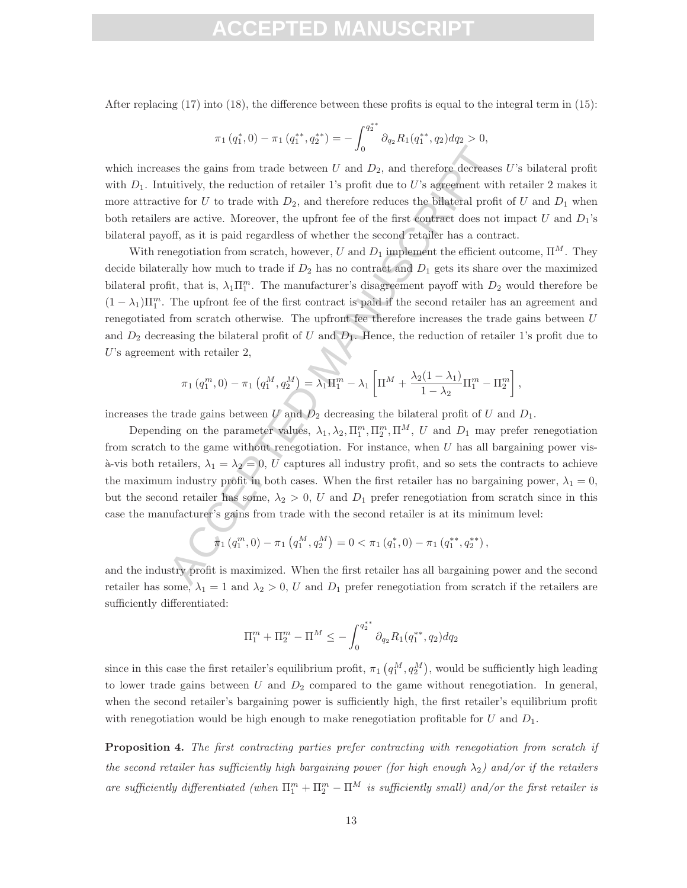After replacing (17) into (18), the difference between these profits is equal to the integral term in (15):

$$
\pi_1(q_1^*,0) - \pi_1(q_1^{**},q_2^{**}) = -\int_0^{q_2^{**}} \partial_{q_2} R_1(q_1^{**},q_2) dq_2 > 0,
$$

which increases the gains from trade between  $U$  and  $D_2$ , and therefore decreases U's bilateral profit with  $D_1$ . Intuitively, the reduction of retailer 1's profit due to U's agreement with retailer 2 makes it more attractive for U to trade with  $D_2$ , and therefore reduces the bilateral profit of U and  $D_1$  when both retailers are active. Moreover, the upfront fee of the first contract does not impact  $U$  and  $D_1$ 's bilateral payoff, as it is paid regardless of whether the second retailer has a contract.

 $J_0$ <br>ses the gains from trade between  $U$  and  $D_2$ , and therefore decreases<br>unitvely, the reduction of retailer  $l$  is profit due to  $U$ 's agreement wit<br>ive for  $U$  to trade with  $D_2$ , and therefore reduces the bilater With renegotiation from scratch, however, U and  $D_1$  implement the efficient outcome,  $\Pi^M$ . They decide bilaterally how much to trade if  $D_2$  has no contract and  $D_1$  gets its share over the maximized bilateral profit, that is,  $\lambda_1 \Pi_1^m$ . The manufacturer's disagreement payoff with  $D_2$  would therefore be  $(1 - \lambda_1)\Pi_1^m$ . The upfront fee of the first contract is paid if the second retailer has an agreement and renegotiated from scratch otherwise. The upfront fee therefore increases the trade gains between U and  $D_2$  decreasing the bilateral profit of U and  $D_1$ . Hence, the reduction of retailer 1's profit due to  $U$ 's agreement with retailer 2,

$$
\pi_1(q_1^m, 0) - \pi_1(q_1^M, q_2^M) = \lambda_1 \Pi_1^m - \lambda_1 \left[ \Pi^M + \frac{\lambda_2(1 - \lambda_1)}{1 - \lambda_2} \Pi_1^m - \Pi_2^m \right],
$$

increases the trade gains between U and  $D_2$  decreasing the bilateral profit of U and  $D_1$ .

Depending on the parameter values,  $\lambda_1, \lambda_2, \Pi_1^m, \Pi_2^m, \Pi^M, U$  and  $D_1$  may prefer renegotiation from scratch to the game without renegotiation. For instance, when  $U$  has all bargaining power vis- $\lambda_1$  is both retailers,  $\lambda_1 = \lambda_2 = 0$ , U captures all industry profit, and so sets the contracts to achieve the maximum industry profit in both cases. When the first retailer has no bargaining power,  $\lambda_1 = 0$ , but the second retailer has some,  $\lambda_2 > 0$ , U and  $D_1$  prefer renegotiation from scratch since in this case the manufacturer's gains from trade with the second retailer is at its minimum level:

$$
\pi_1(q_1^m,0) - \pi_1(q_1^M,q_2^M) = 0 < \pi_1(q_1^*,0) - \pi_1(q_1^{**},q_2^{**}),
$$

and the industry profit is maximized. When the first retailer has all bargaining power and the second retailer has some,  $\lambda_1 = 1$  and  $\lambda_2 > 0$ , U and  $D_1$  prefer renegotiation from scratch if the retailers are sufficiently differentiated:

$$
\Pi_1^m + \Pi_2^m - \Pi^M \le -\int_0^{q_2^{**}} \partial_{q_2} R_1(q_1^{**}, q_2) dq_2
$$

since in this case the first retailer's equilibrium profit,  $\pi_1(q_1^M, q_2^M)$ , would be sufficiently high leading to lower trade gains between U and  $D_2$  compared to the game without renegotiation. In general, when the second retailer's bargaining power is sufficiently high, the first retailer's equilibrium profit with renegotiation would be high enough to make renegotiation profitable for  $U$  and  $D_1$ .

Proposition 4. *The first contracting parties prefer contracting with renegotiation from scratch if the second retailer has sufficiently high bargaining power (for high enough*  $\lambda_2$ ) and/or if the retailers *are sufficiently differentiated (when*  $\Pi_1^m + \Pi_2^m - \Pi^M$  *is sufficiently small) and/or the first retailer is*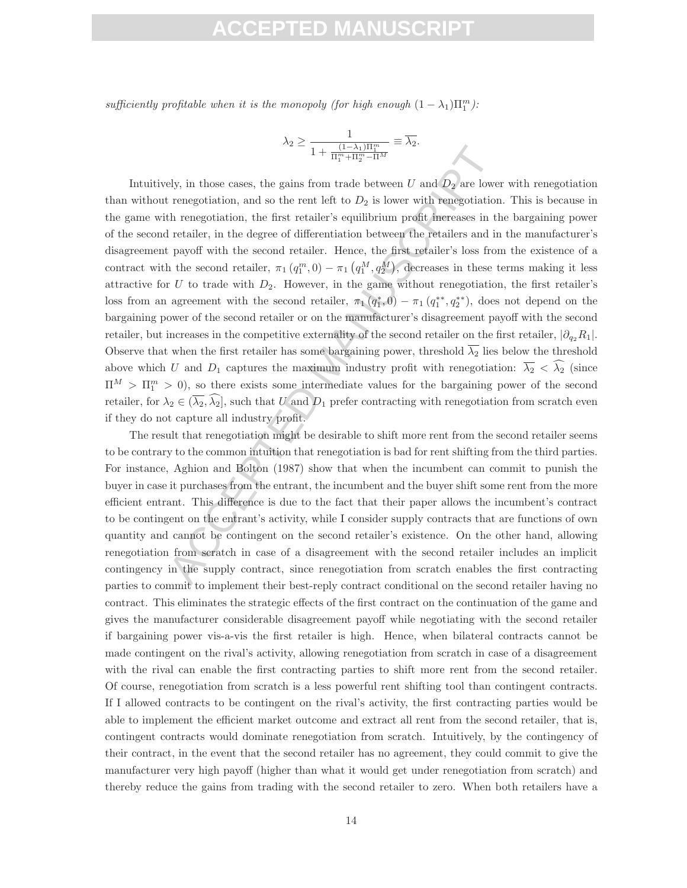*sufficiently profitable when it is the monopoly (for high enough*  $(1 - \lambda_1) \Pi_1^m$ ):

$$
\lambda_2 \ge \frac{1}{1 + \frac{(1 - \lambda_1)\Pi_1^m}{\Pi_1^m + \Pi_2^m - \Pi^M}} \equiv \overline{\lambda_2}.
$$

 $\frac{(1-\lambda_1)\Pi_1^m}{\Pi_1^m + \Pi_2^m - \Pi_3^m}$   $\rightarrow \infty$ .<br>
Let, in those cases, the gains from trade between *U* and  $D_2$  are lower<br>
renegotiation, and so the rent left to  $D_2$  is lower with renegotiation<br>
th renegotiation, the f Intuitively, in those cases, the gains from trade between  $U$  and  $D_2$  are lower with renegotiation than without renegotiation, and so the rent left to  $D_2$  is lower with renegotiation. This is because in the game with renegotiation, the first retailer's equilibrium profit increases in the bargaining power of the second retailer, in the degree of differentiation between the retailers and in the manufacturer's disagreement payoff with the second retailer. Hence, the first retailer's loss from the existence of a contract with the second retailer,  $\pi_1(q_1^m, 0) - \pi_1(q_1^M, q_2^M)$ , decreases in these terms making it less attractive for  $U$  to trade with  $D_2$ . However, in the game without renegotiation, the first retailer's loss from an agreement with the second retailer,  $\pi_1(q_1^*,0) - \pi_1(q_1^{**},q_2^{**})$ , does not depend on the bargaining power of the second retailer or on the manufacturer's disagreement payoff with the second retailer, but increases in the competitive externality of the second retailer on the first retailer,  $|\partial_{q_2}R_1|$ . Observe that when the first retailer has some bargaining power, threshold  $\overline{\lambda_2}$  lies below the threshold above which U and  $D_1$  captures the maximum industry profit with renegotiation:  $\overline{\lambda_2} < \widehat{\lambda_2}$  (since  $\Pi^M > \Pi_1^m > 0$ , so there exists some intermediate values for the bargaining power of the second retailer, for  $\lambda_2 \in (\overline{\lambda_2}, \widehat{\lambda_2}]$ , such that U and  $D_1$  prefer contracting with renegotiation from scratch even if they do not capture all industry profit.

The result that renegotiation might be desirable to shift more rent from the second retailer seems to be contrary to the common intuition that renegotiation is bad for rent shifting from the third parties. For instance, Aghion and Bolton (1987) show that when the incumbent can commit to punish the buyer in case it purchases from the entrant, the incumbent and the buyer shift some rent from the more efficient entrant. This difference is due to the fact that their paper allows the incumbent's contract to be contingent on the entrant's activity, while I consider supply contracts that are functions of own quantity and cannot be contingent on the second retailer's existence. On the other hand, allowing renegotiation from scratch in case of a disagreement with the second retailer includes an implicit contingency in the supply contract, since renegotiation from scratch enables the first contracting parties to commit to implement their best-reply contract conditional on the second retailer having no contract. This eliminates the strategic effects of the first contract on the continuation of the game and gives the manufacturer considerable disagreement payoff while negotiating with the second retailer if bargaining power vis-a-vis the first retailer is high. Hence, when bilateral contracts cannot be made contingent on the rival's activity, allowing renegotiation from scratch in case of a disagreement with the rival can enable the first contracting parties to shift more rent from the second retailer. Of course, renegotiation from scratch is a less powerful rent shifting tool than contingent contracts. If I allowed contracts to be contingent on the rival's activity, the first contracting parties would be able to implement the efficient market outcome and extract all rent from the second retailer, that is, contingent contracts would dominate renegotiation from scratch. Intuitively, by the contingency of their contract, in the event that the second retailer has no agreement, they could commit to give the manufacturer very high payoff (higher than what it would get under renegotiation from scratch) and thereby reduce the gains from trading with the second retailer to zero. When both retailers have a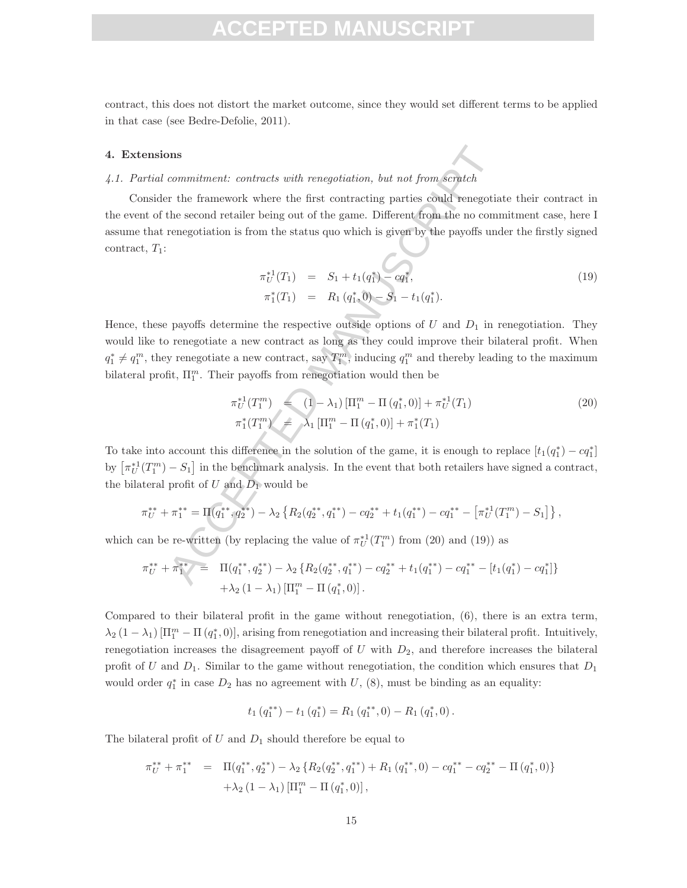contract, this does not distort the market outcome, since they would set different terms to be applied in that case (see Bedre-Defolie, 2011).

#### 4. Extensions

#### *4.1. Partial commitment: contracts with renegotiation, but not from scratch*

 $\begin{array}{l} \mbox{~~on} \mbox{~s} \\ \mbox{~~on} \mbox{~~on} \mbox{~~non} \mbox{~~non} \mbox{~~non} \mbox{~~non} \mbox{~~non} \mbox{~~non} \mbox{~~non} \mbox{~~non} \mbox{~~non} \mbox{~~non} \mbox{~~non} \mbox{~~non} \mbox{~~non} \mbox{~~non} \mbox{~~non} \mbox{~~non} \mbox{~~non} \mbox{~~non} \mbox{~~non} \mbox{~~non} \mbox{~~non} \mbox{~~non} \mbox{~~non} \mbox{~~non} \mbox{~~non} \mbox{~~non} \m$ Consider the framework where the first contracting parties could renegotiate their contract in the event of the second retailer being out of the game. Different from the no commitment case, here I assume that renegotiation is from the status quo which is given by the payoffs under the firstly signed contract,  $T_1$ :

$$
\pi_U^{*1}(T_1) = S_1 + t_1(q_1^*) - cq_1^*, \n\pi_1^*(T_1) = R_1(q_1^*, 0) - S_1 - t_1(q_1^*).
$$
\n(19)

Hence, these payoffs determine the respective outside options of  $U$  and  $D_1$  in renegotiation. They would like to renegotiate a new contract as long as they could improve their bilateral profit. When  $q_1^* \neq q_1^m$ , they renegotiate a new contract, say  $T_1^m$ , inducing  $q_1^m$  and thereby leading to the maximum bilateral profit,  $\Pi_1^m$ . Their payoffs from renegotiation would then be

$$
\pi_U^{*1}(T_1^m) = (1 - \lambda_1) [\Pi_1^m - \Pi(q_1^*, 0)] + \pi_U^{*1}(T_1)
$$
  
\n
$$
\pi_1^*(T_1^m) = \lambda_1 [\Pi_1^m - \Pi(q_1^*, 0)] + \pi_1^*(T_1)
$$
\n(20)

To take into account this difference in the solution of the game, it is enough to replace  $[t_1(q_1^*) - cq_1^*]$ by  $\left[\pi_U^{*1}(T_1^m) - S_1\right]$  in the benchmark analysis. In the event that both retailers have signed a contract, the bilateral profit of  $U$  and  $D_1$  would be

$$
\pi_U^{**} + \pi_1^{**} = \Pi(q_1^{**}, q_2^{**}) - \lambda_2 \left\{ R_2(q_2^{**}, q_1^{**}) - cq_2^{**} + t_1(q_1^{**}) - cq_1^{**} - \left[ \pi_U^{*1}(T_1^m) - S_1 \right] \right\},
$$

which can be re-written (by replacing the value of  $\pi_U^{*1}(T_1^m)$  from (20) and (19)) as

$$
\pi_U^{**} + \pi_1^{**} = \Pi(q_1^{**}, q_2^{**}) - \lambda_2 \{ R_2(q_2^{**}, q_1^{**}) - cq_2^{**} + t_1(q_1^{**}) - cq_1^{**} - [t_1(q_1^{*}) - cq_1^{*}] \} + \lambda_2 (1 - \lambda_1) [\Pi_1^m - \Pi(q_1^{*}, 0)].
$$

Compared to their bilateral profit in the game without renegotiation, (6), there is an extra term,  $\lambda_2$  (1 –  $\lambda_1$ ) [ $\Pi_1^m$  –  $\Pi$  ( $q_1^*$ , 0)], arising from renegotiation and increasing their bilateral profit. Intuitively, renegotiation increases the disagreement payoff of  $U$  with  $D_2$ , and therefore increases the bilateral profit of U and  $D_1$ . Similar to the game without renegotiation, the condition which ensures that  $D_1$ would order  $q_1^*$  in case  $D_2$  has no agreement with U, (8), must be binding as an equality:

$$
t_1(q_1^{**}) - t_1(q_1^*) = R_1(q_1^{**},0) - R_1(q_1^*,0).
$$

The bilateral profit of  $U$  and  $D_1$  should therefore be equal to

$$
\pi_U^{**} + \pi_1^{**} = \Pi(q_1^{**}, q_2^{**}) - \lambda_2 \{ R_2(q_2^{**}, q_1^{**}) + R_1(q_1^{**}, 0) - cq_1^{**} - cq_2^{**} - \Pi(q_1^{*}, 0) \} + \lambda_2 (1 - \lambda_1) [\Pi_1^m - \Pi(q_1^{*}, 0)],
$$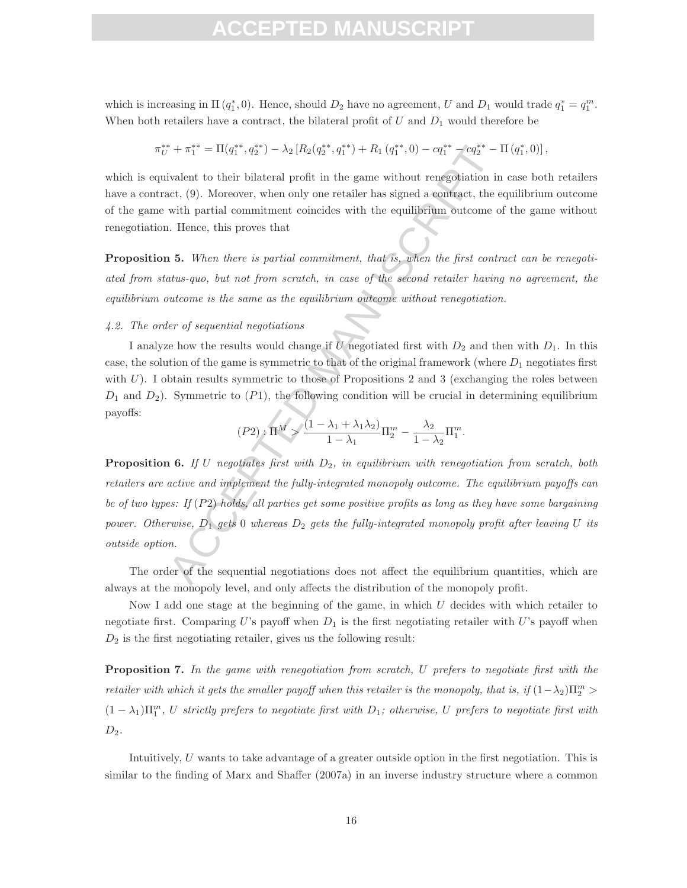which is increasing in  $\Pi(q_1^*,0)$ . Hence, should  $D_2$  have no agreement, U and  $D_1$  would trade  $q_1^* = q_1^m$ . When both retailers have a contract, the bilateral profit of U and  $D_1$  would therefore be

$$
\pi_U^{**} + \pi_1^{**} = \Pi(q_1^{**}, q_2^{**}) - \lambda_2 \left[ R_2(q_2^{**}, q_1^{**}) + R_1(q_1^{**}, 0) - cq_1^{**} - cq_2^{**} - \Pi(q_1^{*}, 0) \right],
$$

which is equivalent to their bilateral profit in the game without renegotiation in case both retailers have a contract, (9). Moreover, when only one retailer has signed a contract, the equilibrium outcome of the game with partial commitment coincides with the equilibrium outcome of the game without renegotiation. Hence, this proves that

Proposition 5. *When there is partial commitment, that is, when the first contract can be renegotiated from status-quo, but not from scratch, in case of the second retailer having no agreement, the equilibrium outcome is the same as the equilibrium outcome without renegotiation.*

#### *4.2. The order of sequential negotiations*

I analyze how the results would change if U negotiated first with  $D_2$  and then with  $D_1$ . In this case, the solution of the game is symmetric to that of the original framework (where  $D_1$  negotiates first with  $U$ ). I obtain results symmetric to those of Propositions 2 and 3 (exchanging the roles between  $D_1$  and  $D_2$ ). Symmetric to  $(P1)$ , the following condition will be crucial in determining equilibrium payoffs:

$$
(P2): \Pi^M > \frac{(1 - \lambda_1 + \lambda_1\lambda_2)}{1 - \lambda_1} \Pi_2^m - \frac{\lambda_2}{1 - \lambda_2} \Pi_1^m.
$$

 $f^* + \pi_1^{**} = \Pi(q_1^{**}, q_2^{**}) - \lambda_2 [R_2(q_2^{**}, q_1^{**}) + R_1(q_1^{**}, 0) - cq_1^{**} - cq_2^{**} - 1]$ <br>
ivalent to their bilateral profit in the game without renegotiation in<br>
tivalent to their bilateral profit in the game without renegotiatio Proposition 6. If U negotiates first with  $D_2$ , in equilibrium with renegotiation from scratch, both *retailers are active and implement the fully-integrated monopoly outcome. The equilibrium payoffs can be of two types: If* (P2) *holds, all parties get some positive profits as long as they have some bargaining power.* Otherwise,  $D_1$  gets 0 *whereas*  $D_2$  gets the fully-integrated monopoly profit after leaving U *its outside option.*

The order of the sequential negotiations does not affect the equilibrium quantities, which are always at the monopoly level, and only affects the distribution of the monopoly profit.

Now I add one stage at the beginning of the game, in which  $U$  decides with which retailer to negotiate first. Comparing  $U$ 's payoff when  $D_1$  is the first negotiating retailer with U's payoff when  $D_2$  is the first negotiating retailer, gives us the following result:

Proposition 7. *In the game with renegotiation from scratch,* U *prefers to negotiate first with the retailer with which it gets the smaller payoff when this retailer is the monopoly, that is, if*  $(1-\lambda_2)\Pi_2^m$  >  $(1 - \lambda_1) \Pi_1^m$ , U strictly prefers to negotiate first with  $D_1$ ; otherwise, U prefers to negotiate first with  $D_2$ .

Intuitively, U wants to take advantage of a greater outside option in the first negotiation. This is similar to the finding of Marx and Shaffer (2007a) in an inverse industry structure where a common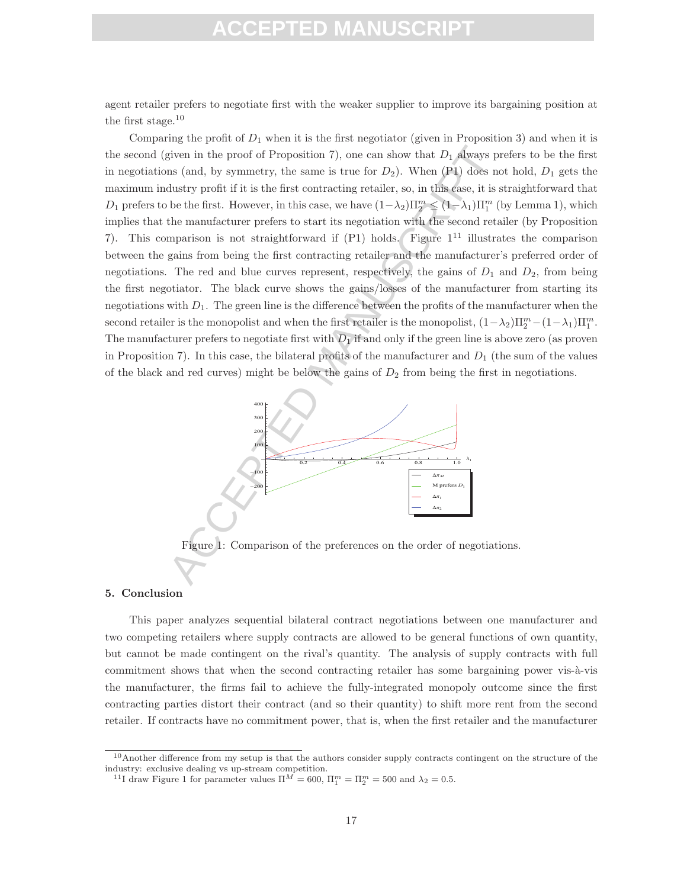agent retailer prefers to negotiate first with the weaker supplier to improve its bargaining position at the first stage.<sup>10</sup>

given in the proof of Proposition 7), one can show that  $D_1$  always pixel in the proof of Proposition 7), one can show that  $D_1$  always pixel and the first contracting retailer, so, in this case, we have  $(1-x_2)\Pi_{21}^{m}$ Comparing the profit of  $D_1$  when it is the first negotiator (given in Proposition 3) and when it is the second (given in the proof of Proposition 7), one can show that  $D_1$  always prefers to be the first in negotiations (and, by symmetry, the same is true for  $D_2$ ). When (P1) does not hold,  $D_1$  gets the maximum industry profit if it is the first contracting retailer, so, in this case, it is straightforward that D<sub>1</sub> prefers to be the first. However, in this case, we have  $(1-\lambda_2)\Pi_2^m \leq (1-\lambda_1)\Pi_1^m$  (by Lemma 1), which implies that the manufacturer prefers to start its negotiation with the second retailer (by Proposition 7). This comparison is not straightforward if  $(P1)$  holds. Figure  $1<sup>11</sup>$  illustrates the comparison between the gains from being the first contracting retailer and the manufacturer's preferred order of negotiations. The red and blue curves represent, respectively, the gains of  $D_1$  and  $D_2$ , from being the first negotiator. The black curve shows the gains/losses of the manufacturer from starting its negotiations with  $D_1$ . The green line is the difference between the profits of the manufacturer when the second retailer is the monopolist and when the first retailer is the monopolist,  $(1-\lambda_2)\Pi_2^m - (1-\lambda_1)\Pi_1^m$ . The manufacturer prefers to negotiate first with  $D_1$  if and only if the green line is above zero (as proven in Proposition 7). In this case, the bilateral profits of the manufacturer and  $D_1$  (the sum of the values of the black and red curves) might be below the gains of  $D_2$  from being the first in negotiations.



Figure 1: Comparison of the preferences on the order of negotiations.

#### 5. Conclusion

This paper analyzes sequential bilateral contract negotiations between one manufacturer and two competing retailers where supply contracts are allowed to be general functions of own quantity, but cannot be made contingent on the rival's quantity. The analysis of supply contracts with full commitment shows that when the second contracting retailer has some bargaining power vis- $\grave{a}$ -vis the manufacturer, the firms fail to achieve the fully-integrated monopoly outcome since the first contracting parties distort their contract (and so their quantity) to shift more rent from the second retailer. If contracts have no commitment power, that is, when the first retailer and the manufacturer

 $10$ Another difference from my setup is that the authors consider supply contracts contingent on the structure of the industry: exclusive dealing vs up-stream competition.

<sup>&</sup>lt;sup>11</sup>I draw Figure 1 for parameter values  $\Pi^{\hat{M}} = 600$ ,  $\Pi^m_1 = \Pi^m_2 = 500$  and  $\lambda_2 = 0.5$ .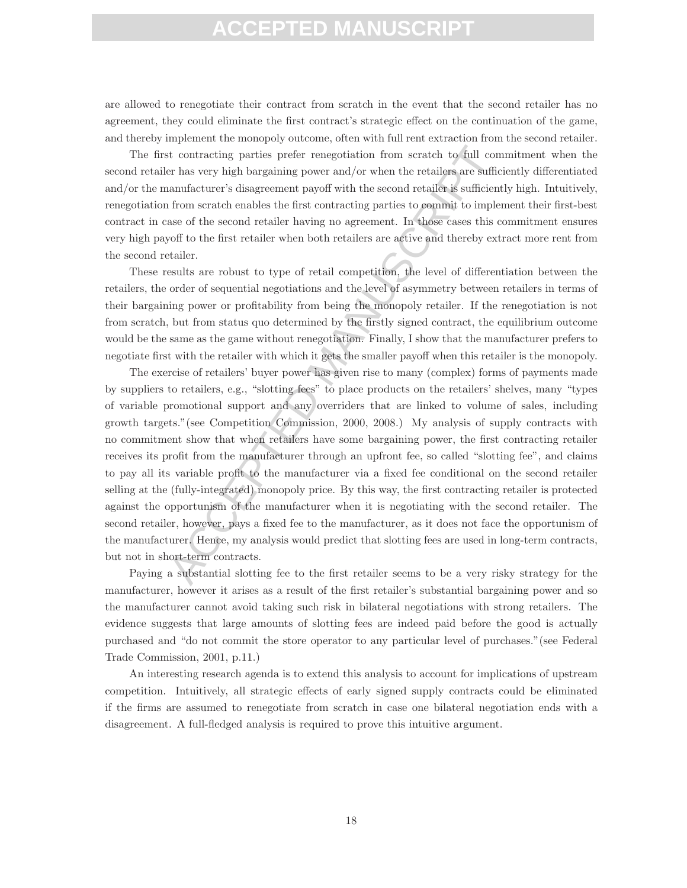are allowed to renegotiate their contract from scratch in the event that the second retailer has no agreement, they could eliminate the first contract's strategic effect on the continuation of the game, and thereby implement the monopoly outcome, often with full rent extraction from the second retailer.

The first contracting parties prefer renegotiation from scratch to full commitment when the second retailer has very high bargaining power and/or when the retailers are sufficiently differentiated and/or the manufacturer's disagreement payoff with the second retailer is sufficiently high. Intuitively, renegotiation from scratch enables the first contracting parties to commit to implement their first-best contract in case of the second retailer having no agreement. In those cases this commitment ensures very high payoff to the first retailer when both retailers are active and thereby extract more rent from the second retailer.

These results are robust to type of retail competition, the level of differentiation between the retailers, the order of sequential negotiations and the level of asymmetry between retailers in terms of their bargaining power or profitability from being the monopoly retailer. If the renegotiation is not from scratch, but from status quo determined by the firstly signed contract, the equilibrium outcome would be the same as the game without renegotiation. Finally, I show that the manufacturer prefers to negotiate first with the retailer with which it gets the smaller payoff when this retailer is the monopoly.

at contracting parties prefer renegotiation from scratch to full comparating parties prefer renegotiation from scratch to full comparating<br>transversion and for when the rediater is sufficient fund for form scratch enables The exercise of retailers' buyer power has given rise to many (complex) forms of payments made by suppliers to retailers, e.g., "slotting fees" to place products on the retailers' shelves, many "types of variable promotional support and any overriders that are linked to volume of sales, including growth targets."(see Competition Commission, 2000, 2008.) My analysis of supply contracts with no commitment show that when retailers have some bargaining power, the first contracting retailer receives its profit from the manufacturer through an upfront fee, so called "slotting fee", and claims to pay all its variable profit to the manufacturer via a fixed fee conditional on the second retailer selling at the (fully-integrated) monopoly price. By this way, the first contracting retailer is protected against the opportunism of the manufacturer when it is negotiating with the second retailer. The second retailer, however, pays a fixed fee to the manufacturer, as it does not face the opportunism of the manufacturer. Hence, my analysis would predict that slotting fees are used in long-term contracts, but not in short-term contracts.

Paying a substantial slotting fee to the first retailer seems to be a very risky strategy for the manufacturer, however it arises as a result of the first retailer's substantial bargaining power and so the manufacturer cannot avoid taking such risk in bilateral negotiations with strong retailers. The evidence suggests that large amounts of slotting fees are indeed paid before the good is actually purchased and "do not commit the store operator to any particular level of purchases."(see Federal Trade Commission, 2001, p.11.)

An interesting research agenda is to extend this analysis to account for implications of upstream competition. Intuitively, all strategic effects of early signed supply contracts could be eliminated if the firms are assumed to renegotiate from scratch in case one bilateral negotiation ends with a disagreement. A full-fledged analysis is required to prove this intuitive argument.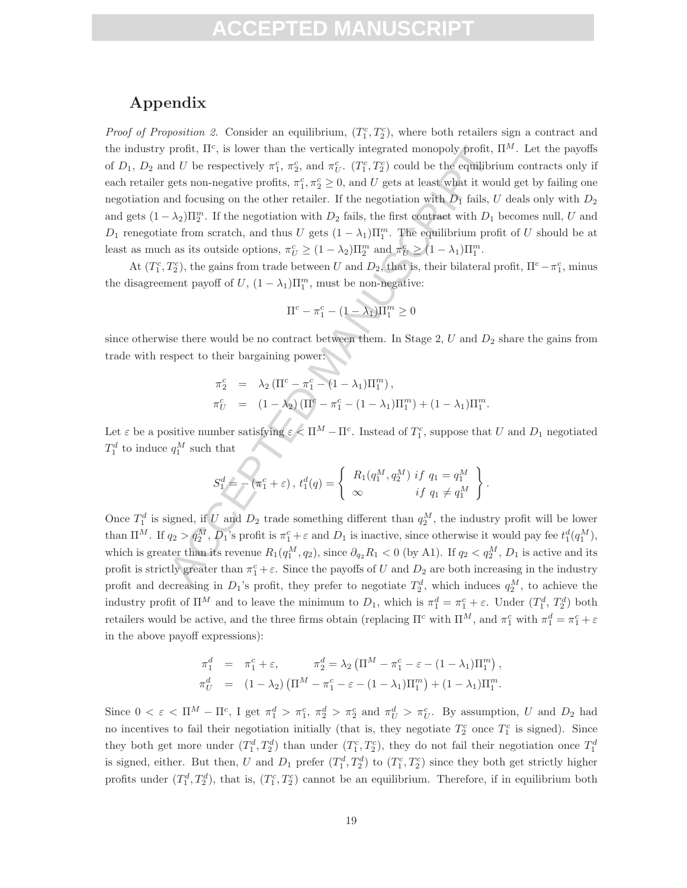#### Appendix

profit,  $\Pi^c$ , is lower than the vertically integrated monopoly profit,  $\Pi$  *U* be respectively  $\pi_1^c$ ,  $\pi_2^c$  and  $\pi_0^c$ .  $(T_1^c, T_2^c)$  could be the equilibrium gets non-negative profits,  $\pi_1^c$ ,  $\pi_2^c \geq 0$ *Proof of Proposition 2.* Consider an equilibrium,  $(T_1^c, T_2^c)$ , where both retailers sign a contract and the industry profit,  $\Pi^c$ , is lower than the vertically integrated monopoly profit,  $\Pi^M$ . Let the payoffs of  $D_1$ ,  $D_2$  and U be respectively  $\pi_1^c$ ,  $\pi_2^c$ , and  $\pi_U^c$ .  $(T_1^c, T_2^c)$  could be the equilibrium contracts only if each retailer gets non-negative profits,  $\pi_1^c, \pi_2^c \ge 0$ , and U gets at least what it would get by failing one negotiation and focusing on the other retailer. If the negotiation with  $D_1$  fails, U deals only with  $D_2$ and gets  $(1 - \lambda_2) \Pi_2^m$ . If the negotiation with  $D_2$  fails, the first contract with  $D_1$  becomes null, U and  $D_1$  renegotiate from scratch, and thus U gets  $(1 - \lambda_1) \Pi_1^m$ . The equilibrium profit of U should be at least as much as its outside options,  $\pi_U^c \geq (1 - \lambda_2) \Pi_2^m$  and  $\pi_U^c \geq (1 - \lambda_1) \Pi_1^m$ .

At  $(T_1^c, T_2^c)$ , the gains from trade between U and  $D_2$ , that is, their bilateral profit,  $\Pi^c - \pi_1^c$ , minus the disagreement payoff of  $U$ ,  $(1 - \lambda_1)\Pi_1^m$ , must be non-negative:

$$
\Pi^c - \pi_1^c - (1 - \lambda_1)\Pi_1^m \ge 0
$$

since otherwise there would be no contract between them. In Stage 2,  $U$  and  $D_2$  share the gains from trade with respect to their bargaining power:

$$
\begin{array}{rcl}\n\pi_2^c &=& \lambda_2 \left( \Pi^c - \pi_1^c - (1 - \lambda_1) \Pi_1^m \right), \\
\pi_U^c &=& (1 - \lambda_2) \left( \Pi^c - \pi_1^c - (1 - \lambda_1) \Pi_1^m \right) + (1 - \lambda_1) \Pi_1^m.\n\end{array}
$$

Let  $\varepsilon$  be a positive number satisfying  $\varepsilon < \Pi^M - \Pi^c$ . Instead of  $T_1^c$ , suppose that U and  $D_1$  negotiated  $T_1^d$  to induce  $q_1^M$  such that

$$
S_1^d = -(\pi_1^c + \varepsilon), t_1^d(q) = \begin{cases} R_1(q_1^M, q_2^M) & \text{if } q_1 = q_1^M \\ \infty & \text{if } q_1 \neq q_1^M \end{cases}.
$$

Once  $T_1^d$  is signed, if U and  $D_2$  trade something different than  $q_2^M$ , the industry profit will be lower than  $\Pi^M$ . If  $q_2 > q_2^M$ ,  $D_1$ 's profit is  $\pi_1^c + \varepsilon$  and  $D_1$  is inactive, since otherwise it would pay fee  $t_1^d(q_1^M)$ , which is greater than its revenue  $R_1(q_1^M, q_2)$ , since  $\partial_{q_2} R_1 < 0$  (by A1). If  $q_2 < q_2^M$ ,  $D_1$  is active and its profit is strictly greater than  $\pi_1^c + \varepsilon$ . Since the payoffs of U and  $D_2$  are both increasing in the industry profit and decreasing in  $D_1$ 's profit, they prefer to negotiate  $T_2^d$ , which induces  $q_2^M$ , to achieve the industry profit of  $\Pi^M$  and to leave the minimum to  $D_1$ , which is  $\pi_1^d = \pi_1^c + \varepsilon$ . Under  $(T_1^d, T_2^d)$  both retailers would be active, and the three firms obtain (replacing  $\Pi^c$  with  $\Pi^M$ , and  $\pi_1^c$  with  $\pi_1^d = \pi_1^c + \varepsilon$ in the above payoff expressions):

$$
\begin{aligned}\n\pi_1^d &= \pi_1^c + \varepsilon, & \pi_2^d &= \lambda_2 \left( \Pi^M - \pi_1^c - \varepsilon - (1 - \lambda_1) \Pi_1^m \right), \\
\pi_U^d &= (1 - \lambda_2) \left( \Pi^M - \pi_1^c - \varepsilon - (1 - \lambda_1) \Pi_1^m \right) + (1 - \lambda_1) \Pi_1^m.\n\end{aligned}
$$

Since  $0 < \varepsilon < \Pi^M - \Pi^c$ , I get  $\pi_1^d > \pi_1^c$ ,  $\pi_2^d > \pi_2^c$  and  $\pi_U^d > \pi_U^c$ . By assumption, U and  $D_2$  had no incentives to fail their negotiation initially (that is, they negotiate  $T_2^c$  once  $T_1^c$  is signed). Since they both get more under  $(T_1^d, T_2^d)$  than under  $(T_1^c, T_2^c)$ , they do not fail their negotiation once  $T_1^d$ is signed, either. But then, U and  $D_1$  prefer  $(T_1^d, T_2^d)$  to  $(T_1^c, T_2^c)$  since they both get strictly higher profits under  $(T_1^d, T_2^d)$ , that is,  $(T_1^c, T_2^c)$  cannot be an equilibrium. Therefore, if in equilibrium both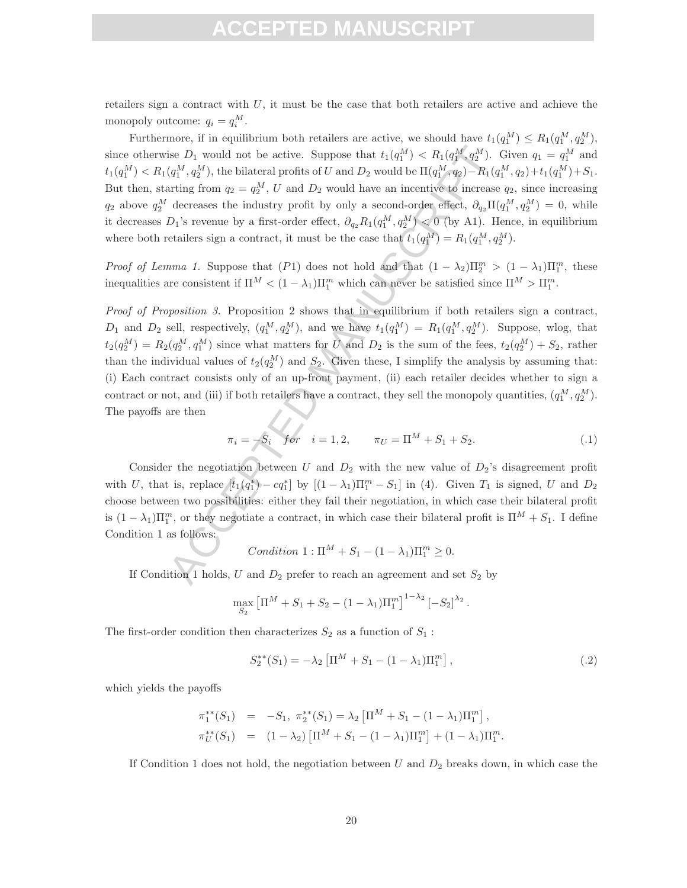retailers sign a contract with  $U$ , it must be the case that both retailers are active and achieve the monopoly outcome:  $q_i = q_i^M$ .

Furthermore, if in equilibrium both retailers are active, we should have  $t_1(q_1^M) \le R_1(q_1^M, q_2^M)$ , since otherwise  $D_1$  would not be active. Suppose that  $t_1(q_1^M) < R_1(q_1^M, q_2^M)$ . Given  $q_1 = q_1^M$  and  $t_1(q_1^M) < R_1(q_1^M, q_2^M)$ , the bilateral profits of U and  $D_2$  would be  $\Pi(q_1^M, q_2) - R_1(q_1^M, q_2) + t_1(q_1^M) + S_1$ . But then, starting from  $q_2 = q_2^M$ , U and  $D_2$  would have an incentive to increase  $q_2$ , since increasing  $q_2$  above  $q_2^M$  decreases the industry profit by only a second-order effect,  $\partial_{q_2} \Pi(q_1^M, q_2^M) = 0$ , while it decreases  $D_1$ 's revenue by a first-order effect,  $\partial_{q_2} R_1(q_1^M, q_2^M) < 0$  (by A1). Hence, in equilibrium where both retailers sign a contract, it must be the case that  $t_1(q_1^M) = R_1(q_1^M, q_2^M)$ .

*Proof of Lemma 1.* Suppose that (P1) does not hold and that  $(1 - \lambda_2) \Pi_2^m > (1 - \lambda_1) \Pi_1^m$ , these inequalities are consistent if  $\Pi^M < (1 - \lambda_1) \Pi_1^m$  which can never be satisfied since  $\Pi^M > \Pi_1^m$ .

ise  $D_1$  would not be active. Suppose that  $t_1(q_1^M) < R_1(q_1^M, q_2^M)$ ,  $(R_1^M, q_2^M)$ , the bilateral profits of  $U$  and  $D_2$  would be  $\Pi(q_1^M, q_2) - R_1(q_1^M, q_2^M)$ , the bilateral profits of  $U$  and  $D_2$  would have an *Proof of Proposition 3.* Proposition 2 shows that in equilibrium if both retailers sign a contract,  $D_1$  and  $D_2$  sell, respectively,  $(q_1^M, q_2^M)$ , and we have  $t_1(q_1^M) = R_1(q_1^M, q_2^M)$ . Suppose, wlog, that  $t_2(q_2^M) = R_2(q_2^M, q_1^M)$  since what matters for U and  $D_2$  is the sum of the fees,  $t_2(q_2^M) + S_2$ , rather than the individual values of  $t_2(q_2^M)$  and  $S_2$ . Given these, I simplify the analysis by assuming that: (i) Each contract consists only of an up-front payment, (ii) each retailer decides whether to sign a contract or not, and (iii) if both retailers have a contract, they sell the monopoly quantities,  $(q_1^M, q_2^M)$ . The payoffs are then

$$
\pi_i = -S_i \quad \text{for} \quad i = 1, 2, \qquad \pi_U = \Pi^M + S_1 + S_2. \tag{.1}
$$

Consider the negotiation between U and  $D_2$  with the new value of  $D_2$ 's disagreement profit with U, that is, replace  $[t_1(q_1^*) - cq_1^*]$  by  $[(1 - \lambda_1) \Pi_1^m - S_1]$  in (4). Given  $T_1$  is signed, U and  $D_2$ choose between two possibilities: either they fail their negotiation, in which case their bilateral profit is  $(1 - \lambda_1) \Pi_1^m$ , or they negotiate a contract, in which case their bilateral profit is  $\Pi^M + S_1$ . I define Condition 1 as follows:

$$
Condition 1: \Pi^M + S_1 - (1 - \lambda_1)\Pi_1^m \ge 0.
$$

If Condition 1 holds,  $U$  and  $D_2$  prefer to reach an agreement and set  $S_2$  by

$$
\max_{S_2} \left[ \Pi^M + S_1 + S_2 - (1 - \lambda_1) \Pi_1^m \right]^{1 - \lambda_2} \left[ -S_2 \right]^{\lambda_2}.
$$

The first-order condition then characterizes  $S_2$  as a function of  $S_1$ :

$$
S_2^{**}(S_1) = -\lambda_2 \left[ \Pi^M + S_1 - (1 - \lambda_1) \Pi_1^m \right],
$$
\n(.2)

which yields the payoffs

$$
\pi_1^{**}(S_1) = -S_1, \ \pi_2^{**}(S_1) = \lambda_2 \left[ \Pi^M + S_1 - (1 - \lambda_1) \Pi_1^m \right],
$$
  

$$
\pi_U^{**}(S_1) = (1 - \lambda_2) \left[ \Pi^M + S_1 - (1 - \lambda_1) \Pi_1^m \right] + (1 - \lambda_1) \Pi_1^m.
$$

If Condition 1 does not hold, the negotiation between  $U$  and  $D_2$  breaks down, in which case the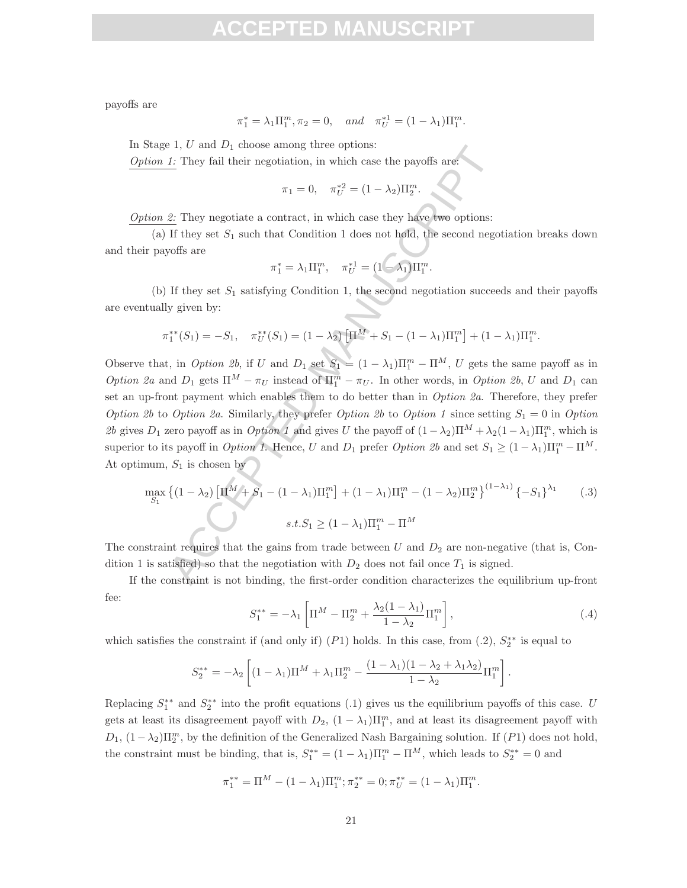payoffs are

$$
\pi_1^* = \lambda_1 \Pi_1^m, \pi_2 = 0, \text{ and } \pi_U^{*1} = (1 - \lambda_1) \Pi_1^m.
$$

In Stage 1,  $U$  and  $D_1$  choose among three options:

*Option 1:* They fail their negotiation, in which case the payoffs are:

$$
\pi_1 = 0, \quad \pi_U^{*2} = (1 - \lambda_2) \Pi_2^m
$$

.

*Option 2:* They negotiate a contract, in which case they have two options:

(a) If they set  $S_1$  such that Condition 1 does not hold, the second negotiation breaks down and their payoffs are

$$
\pi_1^* = \lambda_1 \Pi_1^m, \quad \pi_U^{*1} = (1 - \lambda_1) \Pi_1^m.
$$

(b) If they set  $S_1$  satisfying Condition 1, the second negotiation succeeds and their payoffs are eventually given by:

$$
\pi_1^{**}(S_1) = -S_1, \quad \pi_U^{**}(S_1) = (1 - \lambda_2) \left[ \Pi^M + S_1 - (1 - \lambda_1) \Pi_1^m \right] + (1 - \lambda_1) \Pi_1^m.
$$

1.  $U$  and  $D_1$  choose annong three options:<br>  $\pi_1 = 0$ ,  $\pi_U^{*2} = (1 - \lambda_2)\Pi_2^{m}$ .<br>
2. They fail their negotiation, in which case the payoffs are:<br>  $\pi_1 = 0$ ,  $\pi_U^{*2} = (1 - \lambda_2)\Pi_2^{m}$ .<br>
2. They negotiate a contract, in w Observe that, in *Option 2b*, if U and  $D_1$  set  $S_1 = (1 - \lambda_1)\Pi_1^m - \Pi_1^M$ , U gets the same payoff as in *Option 2a* and  $D_1$  gets  $\Pi^M - \pi_U$  instead of  $\Pi^m - \pi_U$ . In other words, in *Option 2b*, U and  $D_1$  can set an up-front payment which enables them to do better than in *Option 2a*. Therefore, they prefer *Option 2b* to *Option 2a*. Similarly, they prefer *Option 2b* to *Option 1* since setting  $S_1 = 0$  in *Option* 2b gives  $D_1$  zero payoff as in *Option 1* and gives U the payoff of  $(1 - \lambda_2)\Pi^M + \lambda_2(1 - \lambda_1)\Pi_1^m$ , which is superior to its payoff in *Option 1*. Hence, U and  $D_1$  prefer *Option 2b* and set  $S_1 \geq (1 - \lambda_1)\Pi_1^m - \Pi^M$ . At optimum,  $S_1$  is chosen by

$$
\max_{S_1} \left\{ (1 - \lambda_2) \left[ \Pi^M + S_1 - (1 - \lambda_1) \Pi_1^m \right] + (1 - \lambda_1) \Pi_1^m - (1 - \lambda_2) \Pi_2^m \right\}^{(1 - \lambda_1)} \left\{ -S_1 \right\}^{\lambda_1} \tag{3}
$$
\n
$$
s.t. S_1 \ge (1 - \lambda_1) \Pi_1^m - \Pi^M
$$

The constraint requires that the gains from trade between  $U$  and  $D_2$  are non-negative (that is, Condition 1 is satisfied) so that the negotiation with  $D_2$  does not fail once  $T_1$  is signed.

If the constraint is not binding, the first-order condition characterizes the equilibrium up-front fee:

$$
S_1^{**} = -\lambda_1 \left[ \Pi^M - \Pi_2^m + \frac{\lambda_2 (1 - \lambda_1)}{1 - \lambda_2} \Pi_1^m \right],
$$
 (.4)

which satisfies the constraint if (and only if)  $(P1)$  holds. In this case, from  $(0.2)$ ,  $S_2^{**}$  is equal to

$$
S_2^{**} = -\lambda_2 \left[ (1 - \lambda_1)\Pi^M + \lambda_1 \Pi_2^m - \frac{(1 - \lambda_1)(1 - \lambda_2 + \lambda_1\lambda_2)}{1 - \lambda_2} \Pi_1^m \right].
$$

Replacing  $S_1^{**}$  and  $S_2^{**}$  into the profit equations (.1) gives us the equilibrium payoffs of this case. U gets at least its disagreement payoff with  $D_2$ ,  $(1 - \lambda_1)\Pi_1^m$ , and at least its disagreement payoff with  $D_1$ ,  $(1-\lambda_2)\Pi_2^m$ , by the definition of the Generalized Nash Bargaining solution. If  $(P1)$  does not hold, the constraint must be binding, that is,  $S_1^{**} = (1 - \lambda_1) \Pi_1^m - \Pi^M$ , which leads to  $S_2^{**} = 0$  and

$$
\pi_1^{**} = \Pi^M - (1 - \lambda_1)\Pi_1^m; \pi_2^{**} = 0; \pi_U^{**} = (1 - \lambda_1)\Pi_1^m.
$$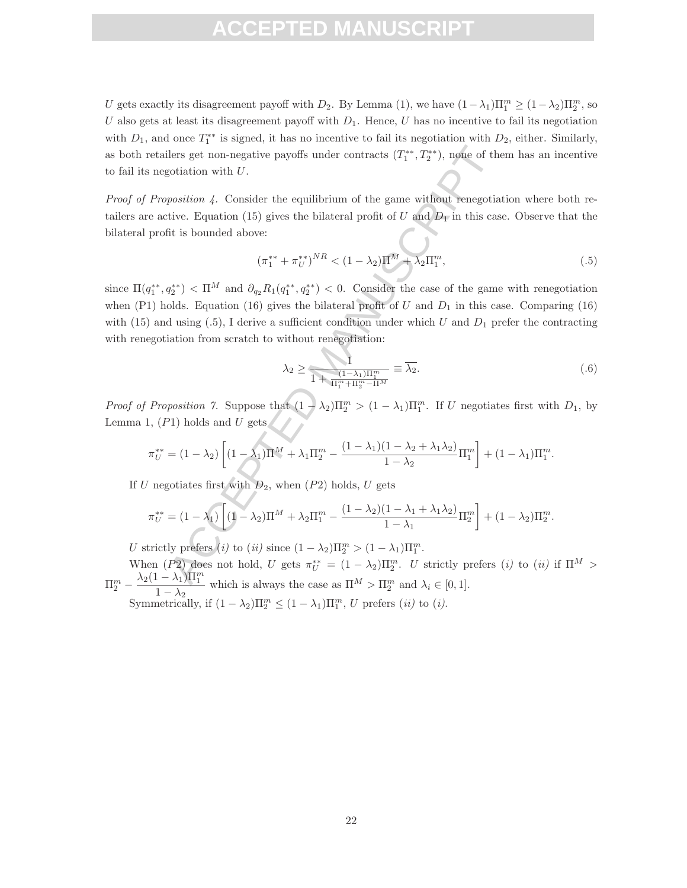U gets exactly its disagreement payoff with  $D_2$ . By Lemma (1), we have  $(1 - \lambda_1)\Pi_1^m \ge (1 - \lambda_2)\Pi_2^m$ , so U also gets at least its disagreement payoff with  $D_1$ . Hence, U has no incentive to fail its negotiation with  $D_1$ , and once  $T_1^{**}$  is signed, it has no incentive to fail its negotiation with  $D_2$ , either. Similarly, as both retailers get non-negative payoffs under contracts  $(T_1^{**}, T_2^{**})$ , none of them has an incentive to fail its negotiation with  $U$ .

*Proof of Proposition 4.* Consider the equilibrium of the game without renegotiation where both retailers are active. Equation (15) gives the bilateral profit of U and  $D_1$  in this case. Observe that the bilateral profit is bounded above:

$$
\left(\pi_1^{**} + \pi_U^{**}\right)^{NR} < (1 - \lambda_2)\Pi^M + \lambda_2 \Pi_1^m,\tag{.5}
$$

ilers get non-negative payoffs under contracts  $(T_1^{**}, T_2^{**})$ , none of the<br>gotiation with U.<br>position 4. Consider the equilibrium of the game without renegotia<br>tive. Equation (15) gives the bilateral profit of U and  $D_1$ since  $\Pi(q_1^{**}, q_2^{**}) < \Pi^M$  and  $\partial_{q_2} R_1(q_1^{**}, q_2^{**}) < 0$ . Consider the case of the game with renegotiation when (P1) holds. Equation (16) gives the bilateral profit of U and  $D_1$  in this case. Comparing (16) with (15) and using (.5), I derive a sufficient condition under which U and  $D_1$  prefer the contracting with renegotiation from scratch to without renegotiation:

$$
\lambda_2 \ge \frac{1}{1 + \frac{(1 - \lambda_1)\Pi_1^m}{\Pi_1^m + \Pi_2^m - \Pi^M}} \equiv \overline{\lambda_2}.
$$

*Proof of Proposition 7.* Suppose that  $(1 - \lambda_2)\Pi_2^m > (1 - \lambda_1)\Pi_1^m$ . If U negotiates first with  $D_1$ , by Lemma 1,  $(P1)$  holds and U gets

$$
\pi_{U}^{**} = (1 - \lambda_2) \left[ (1 - \lambda_1)\Pi^{M} + \lambda_1 \Pi_2^{m} - \frac{(1 - \lambda_1)(1 - \lambda_2 + \lambda_1\lambda_2)}{1 - \lambda_2} \Pi_1^{m} \right] + (1 - \lambda_1)\Pi_1^{m}.
$$

If U negotiates first with  $D_2$ , when  $(P2)$  holds, U gets

$$
\pi_U^{**} = (1 - \lambda_1) \left[ (1 - \lambda_2) \Pi^M + \lambda_2 \Pi_1^m - \frac{(1 - \lambda_2)(1 - \lambda_1 + \lambda_1 \lambda_2)}{1 - \lambda_1} \Pi_2^m \right] + (1 - \lambda_2) \Pi_2^m.
$$

U strictly prefers (*i*) to (*ii*) since  $(1 - \lambda_2)\Pi_2^m > (1 - \lambda_1)\Pi_1^m$ .

When  $(P2)$  does not hold, U gets  $\pi_U^{**} = (1 - \lambda_2) \Pi_2^m$ . U strictly prefers *(i)* to *(ii)* if  $\Pi^M$  >  $\Pi_2^m - \frac{\lambda_2(1-\lambda_1)\Pi_1^m}{1-\lambda_2}$  $\frac{1 - \lambda_1 \mu_1}{1 - \lambda_2}$  which is always the case as  $\Pi^M > \Pi_2^m$  and  $\lambda_i \in [0, 1]$ .

Symmetrically, if  $(1 - \lambda_2)\Pi_2^m \leq (1 - \lambda_1)\Pi_1^m$ , U prefers *(ii)* to *(i)*.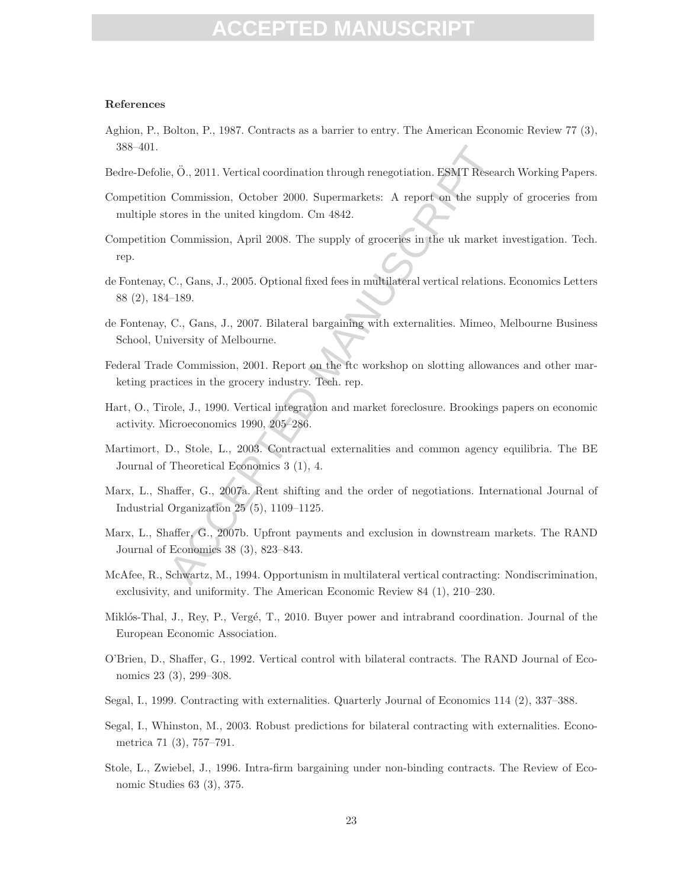### **EPTED MANUSCI**

#### References

- Aghion, P., Bolton, P., 1987. Contracts as a barrier to entry. The American Economic Review 77 (3), 388–401.
- Bedre-Defolie,  $\ddot{\mathrm{O}}$ ., 2011. Vertical coordination through renegotiation. ESMT Research Working Papers.
- Competition Commission, October 2000. Supermarkets: A report on the supply of groceries from multiple stores in the united kingdom. Cm 4842.
- e, Ö., 2011. Vertical coordination through renegotiation. ESMT Reseau Commission, October 2000. Supermarkets: A report on the suppl<br/>vores in the united kingdom. Cm 4842. Commission, April 2008. The supply of groceries Competition Commission, April 2008. The supply of groceries in the uk market investigation. Tech. rep.
- de Fontenay, C., Gans, J., 2005. Optional fixed fees in multilateral vertical relations. Economics Letters 88 (2), 184–189.
- de Fontenay, C., Gans, J., 2007. Bilateral bargaining with externalities. Mimeo, Melbourne Business School, University of Melbourne.
- Federal Trade Commission, 2001. Report on the ftc workshop on slotting allowances and other marketing practices in the grocery industry. Tech. rep.
- Hart, O., Tirole, J., 1990. Vertical integration and market foreclosure. Brookings papers on economic activity. Microeconomics 1990, 205–286.
- Martimort, D., Stole, L., 2003. Contractual externalities and common agency equilibria. The BE Journal of Theoretical Economics 3 (1), 4.
- Marx, L., Shaffer, G., 2007a. Rent shifting and the order of negotiations. International Journal of Industrial Organization 25 (5), 1109–1125.
- Marx, L., Shaffer, G., 2007b. Upfront payments and exclusion in downstream markets. The RAND Journal of Economics 38 (3), 823–843.
- McAfee, R., Schwartz, M., 1994. Opportunism in multilateral vertical contracting: Nondiscrimination, exclusivity, and uniformity. The American Economic Review 84 (1), 210–230.
- Miklós-Thal, J., Rey, P., Vergé, T., 2010. Buyer power and intrabrand coordination. Journal of the European Economic Association.
- O'Brien, D., Shaffer, G., 1992. Vertical control with bilateral contracts. The RAND Journal of Economics 23 (3), 299–308.
- Segal, I., 1999. Contracting with externalities. Quarterly Journal of Economics 114 (2), 337–388.
- Segal, I., Whinston, M., 2003. Robust predictions for bilateral contracting with externalities. Econometrica 71 (3), 757–791.
- Stole, L., Zwiebel, J., 1996. Intra-firm bargaining under non-binding contracts. The Review of Economic Studies 63 (3), 375.